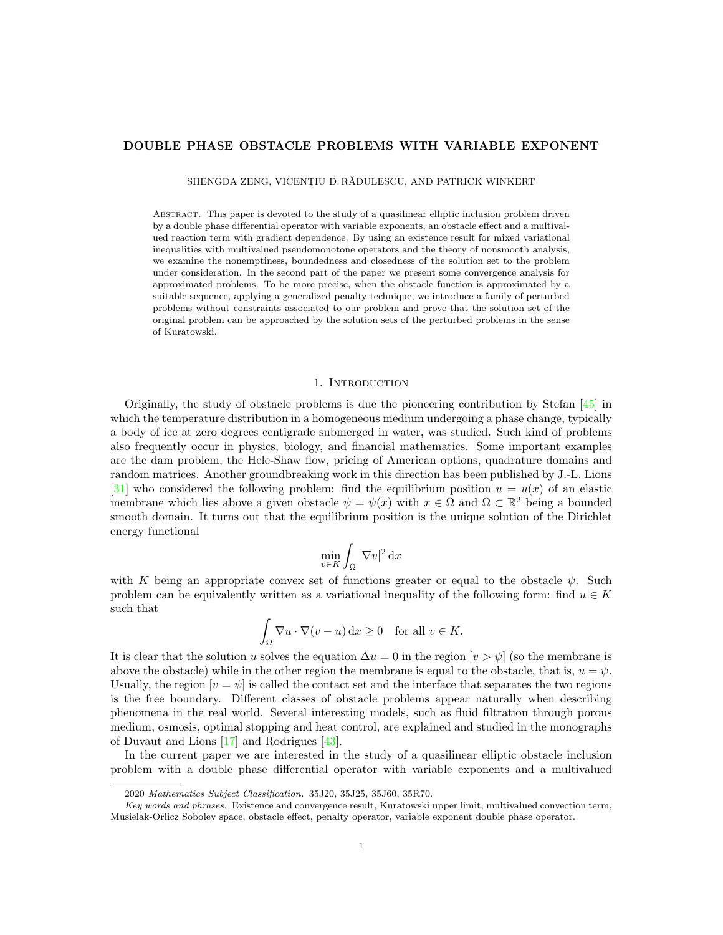## DOUBLE PHASE OBSTACLE PROBLEMS WITH VARIABLE EXPONENT

SHENGDA ZENG, VICENȚIU D. RĂDULESCU, AND PATRICK WINKERT

Abstract. This paper is devoted to the study of a quasilinear elliptic inclusion problem driven by a double phase differential operator with variable exponents, an obstacle effect and a multivalued reaction term with gradient dependence. By using an existence result for mixed variational inequalities with multivalued pseudomonotone operators and the theory of nonsmooth analysis, we examine the nonemptiness, boundedness and closedness of the solution set to the problem under consideration. In the second part of the paper we present some convergence analysis for approximated problems. To be more precise, when the obstacle function is approximated by a suitable sequence, applying a generalized penalty technique, we introduce a family of perturbed problems without constraints associated to our problem and prove that the solution set of the original problem can be approached by the solution sets of the perturbed problems in the sense of Kuratowski.

### 1. INTRODUCTION

Originally, the study of obstacle problems is due the pioneering contribution by Stefan [\[45\]](#page-21-0) in which the temperature distribution in a homogeneous medium undergoing a phase change, typically a body of ice at zero degrees centigrade submerged in water, was studied. Such kind of problems also frequently occur in physics, biology, and financial mathematics. Some important examples are the dam problem, the Hele-Shaw flow, pricing of American options, quadrature domains and random matrices. Another groundbreaking work in this direction has been published by J.-L. Lions [\[31\]](#page-21-1) who considered the following problem: find the equilibrium position  $u = u(x)$  of an elastic membrane which lies above a given obstacle  $\psi = \psi(x)$  with  $x \in \Omega$  and  $\Omega \subset \mathbb{R}^2$  being a bounded smooth domain. It turns out that the equilibrium position is the unique solution of the Dirichlet energy functional

$$
\min_{v \in K} \int_{\Omega} |\nabla v|^2 \, \mathrm{d}x
$$

with K being an appropriate convex set of functions greater or equal to the obstacle  $\psi$ . Such problem can be equivalently written as a variational inequality of the following form: find  $u \in K$ such that

$$
\int_{\Omega} \nabla u \cdot \nabla (v - u) \,dx \ge 0 \quad \text{for all } v \in K.
$$

It is clear that the solution u solves the equation  $\Delta u = 0$  in the region  $|v \rangle \psi |$  (so the membrane is above the obstacle) while in the other region the membrane is equal to the obstacle, that is,  $u = \psi$ . Usually, the region  $|v = \psi|$  is called the contact set and the interface that separates the two regions is the free boundary. Different classes of obstacle problems appear naturally when describing phenomena in the real world. Several interesting models, such as fluid filtration through porous medium, osmosis, optimal stopping and heat control, are explained and studied in the monographs of Duvaut and Lions [\[17\]](#page-21-2) and Rodrigues [\[43\]](#page-21-3).

In the current paper we are interested in the study of a quasilinear elliptic obstacle inclusion problem with a double phase differential operator with variable exponents and a multivalued

<sup>2020</sup> Mathematics Subject Classification. 35J20, 35J25, 35J60, 35R70.

Key words and phrases. Existence and convergence result, Kuratowski upper limit, multivalued convection term, Musielak-Orlicz Sobolev space, obstacle effect, penalty operator, variable exponent double phase operator.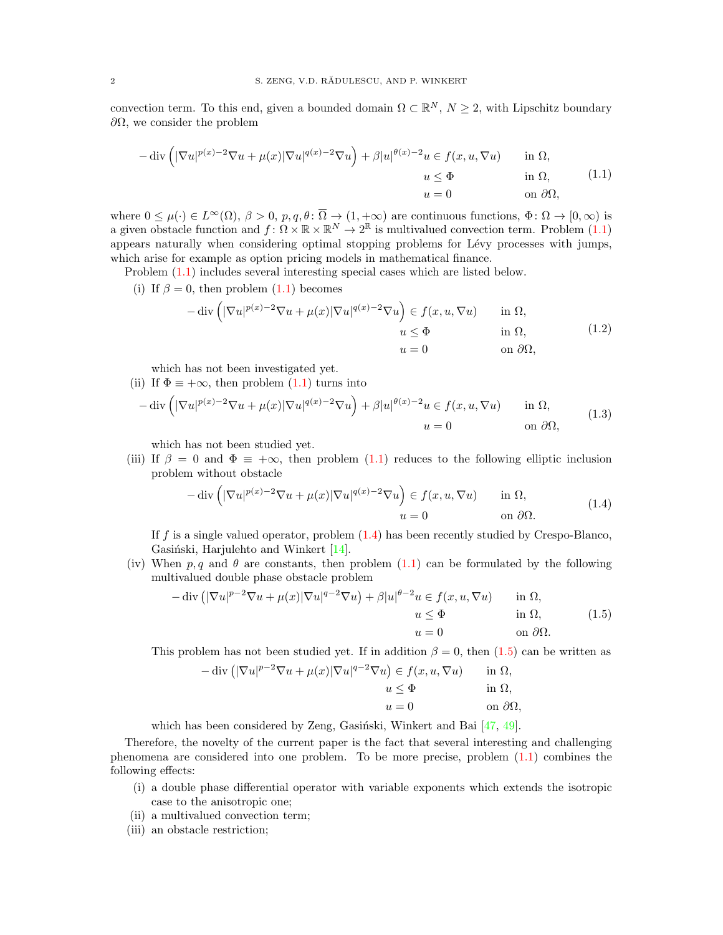convection term. To this end, given a bounded domain  $\Omega \subset \mathbb{R}^N$ ,  $N \geq 2$ , with Lipschitz boundary  $\partial Ω$ , we consider the problem

<span id="page-1-0"></span>
$$
-\operatorname{div}\left(|\nabla u|^{p(x)-2}\nabla u + \mu(x)|\nabla u|^{q(x)-2}\nabla u\right) + \beta|u|^{\theta(x)-2}u \in f(x, u, \nabla u) \quad \text{in } \Omega, \n u \le \Phi \quad \text{in } \Omega, \n u = 0 \quad \text{on } \partial\Omega,
$$
\n(1.1)

where  $0 \leq \mu(\cdot) \in L^{\infty}(\Omega)$ ,  $\beta > 0$ ,  $p, q, \theta \colon \overline{\Omega} \to (1, +\infty)$  are continuous functions,  $\Phi \colon \Omega \to [0, \infty)$  is a given obstacle function and  $f: \Omega \times \mathbb{R} \times \mathbb{R}^N \to 2^{\mathbb{R}}$  is multivalued convection term. Problem  $(1.1)$ appears naturally when considering optimal stopping problems for Lévy processes with jumps, which arise for example as option pricing models in mathematical finance.

Problem [\(1.1\)](#page-1-0) includes several interesting special cases which are listed below.

(i) If  $\beta = 0$ , then problem [\(1.1\)](#page-1-0) becomes

<span id="page-1-4"></span>
$$
-\operatorname{div}\left(|\nabla u|^{p(x)-2}\nabla u + \mu(x)|\nabla u|^{q(x)-2}\nabla u\right) \in f(x, u, \nabla u) \quad \text{in } \Omega, u \leq \Phi \quad \text{in } \Omega, u = 0 \quad \text{on } \partial\Omega,
$$
 (1.2)

which has not been investigated yet.

(ii) If  $\Phi \equiv +\infty$ , then problem [\(1.1\)](#page-1-0) turns into

<span id="page-1-3"></span>
$$
-\operatorname{div}\left(|\nabla u|^{p(x)-2}\nabla u + \mu(x)|\nabla u|^{q(x)-2}\nabla u\right) + \beta|u|^{\theta(x)-2}u \in f(x, u, \nabla u) \quad \text{in } \Omega,
$$
  
\n
$$
u = 0 \quad \text{on } \partial\Omega,
$$
\n(1.3)

which has not been studied yet.

(iii) If  $\beta = 0$  and  $\Phi = +\infty$ , then problem [\(1.1\)](#page-1-0) reduces to the following elliptic inclusion problem without obstacle

<span id="page-1-1"></span>
$$
-\operatorname{div}\left(|\nabla u|^{p(x)-2}\nabla u + \mu(x)|\nabla u|^{q(x)-2}\nabla u\right) \in f(x, u, \nabla u) \quad \text{in } \Omega,
$$
  
\n
$$
u = 0 \quad \text{on } \partial\Omega.
$$
 (1.4)

If f is a single valued operator, problem  $(1.4)$  has been recently studied by Crespo-Blanco, Gasiński, Harjulehto and Winkert [\[14\]](#page-20-0).

(iv) When p, q and  $\theta$  are constants, then problem [\(1.1\)](#page-1-0) can be formulated by the following multivalued double phase obstacle problem

<span id="page-1-2"></span>
$$
-\operatorname{div}\left(|\nabla u|^{p-2}\nabla u + \mu(x)|\nabla u|^{q-2}\nabla u\right) + \beta|u|^{\theta-2}u \in f(x, u, \nabla u) \quad \text{in } \Omega, \quad u \le \Phi \quad \text{in } \Omega, \quad u = 0 \quad \text{on } \partial\Omega.
$$
\n(1.5)

This problem has not been studied yet. If in addition  $\beta = 0$ , then [\(1.5\)](#page-1-2) can be written as

$$
-\operatorname{div} \left( |\nabla u|^{p-2} \nabla u + \mu(x) |\nabla u|^{q-2} \nabla u \right) \in f(x, u, \nabla u) \quad \text{in } \Omega, \n u \le \Phi \quad \text{in } \Omega, \n u = 0 \quad \text{on } \partial \Omega,
$$

which has been considered by Zeng, Gasiński, Winkert and Bai [\[47,](#page-21-4) [49\]](#page-22-0).

Therefore, the novelty of the current paper is the fact that several interesting and challenging phenomena are considered into one problem. To be more precise, problem [\(1.1\)](#page-1-0) combines the following effects:

- (i) a double phase differential operator with variable exponents which extends the isotropic case to the anisotropic one;
- (ii) a multivalued convection term;
- (iii) an obstacle restriction;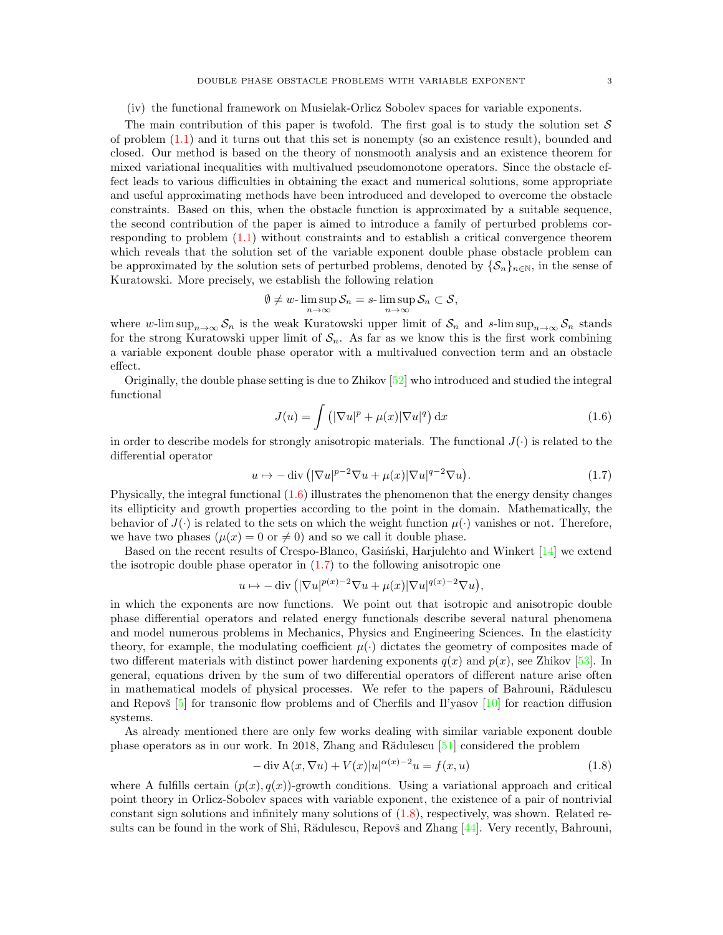(iv) the functional framework on Musielak-Orlicz Sobolev spaces for variable exponents.

The main contribution of this paper is twofold. The first goal is to study the solution set  $S$ of problem [\(1.1\)](#page-1-0) and it turns out that this set is nonempty (so an existence result), bounded and closed. Our method is based on the theory of nonsmooth analysis and an existence theorem for mixed variational inequalities with multivalued pseudomonotone operators. Since the obstacle effect leads to various difficulties in obtaining the exact and numerical solutions, some appropriate and useful approximating methods have been introduced and developed to overcome the obstacle constraints. Based on this, when the obstacle function is approximated by a suitable sequence, the second contribution of the paper is aimed to introduce a family of perturbed problems corresponding to problem [\(1.1\)](#page-1-0) without constraints and to establish a critical convergence theorem which reveals that the solution set of the variable exponent double phase obstacle problem can be approximated by the solution sets of perturbed problems, denoted by  $\{S_n\}_{n\in\mathbb{N}}$ , in the sense of Kuratowski. More precisely, we establish the following relation

$$
\emptyset \neq w\text{-}\limsup_{n\to\infty} \mathcal{S}_n = s\text{-}\limsup_{n\to\infty} \mathcal{S}_n \subset \mathcal{S},
$$

where w-lim sup<sub>n→∞</sub>  $S_n$  is the weak Kuratowski upper limit of  $S_n$  and s-lim sup<sub>n→∞</sub>  $S_n$  stands for the strong Kuratowski upper limit of  $S_n$ . As far as we know this is the first work combining a variable exponent double phase operator with a multivalued convection term and an obstacle effect.

Originally, the double phase setting is due to Zhikov [\[52\]](#page-22-1) who introduced and studied the integral functional

<span id="page-2-1"></span><span id="page-2-0"></span>
$$
J(u) = \int \left( |\nabla u|^p + \mu(x) |\nabla u|^q \right) dx \tag{1.6}
$$

in order to describe models for strongly anisotropic materials. The functional  $J(\cdot)$  is related to the differential operator

$$
u \mapsto -\operatorname{div}\left( |\nabla u|^{p-2} \nabla u + \mu(x) |\nabla u|^{q-2} \nabla u\right). \tag{1.7}
$$

Physically, the integral functional  $(1.6)$  illustrates the phenomenon that the energy density changes its ellipticity and growth properties according to the point in the domain. Mathematically, the behavior of  $J(\cdot)$  is related to the sets on which the weight function  $\mu(\cdot)$  vanishes or not. Therefore, we have two phases  $(\mu(x) = 0 \text{ or } \neq 0)$  and so we call it double phase.

Based on the recent results of Crespo-Blanco, Gasinski, Harjulehto and Winkert [\[14\]](#page-20-0) we extend the isotropic double phase operator in  $(1.7)$  to the following anisotropic one

$$
u \mapsto -\operatorname{div} \left( |\nabla u|^{p(x)-2} \nabla u + \mu(x) |\nabla u|^{q(x)-2} \nabla u \right),
$$

in which the exponents are now functions. We point out that isotropic and anisotropic double phase differential operators and related energy functionals describe several natural phenomena and model numerous problems in Mechanics, Physics and Engineering Sciences. In the elasticity theory, for example, the modulating coefficient  $\mu(\cdot)$  dictates the geometry of composites made of two different materials with distinct power hardening exponents  $q(x)$  and  $p(x)$ , see Zhikov [\[53\]](#page-22-2). In general, equations driven by the sum of two differential operators of different nature arise often in mathematical models of physical processes. We refer to the papers of Bahrouni, Rădulescu and Repovš  $\left[5\right]$  for transonic flow problems and of Cherfils and Il'yasov  $\left[10\right]$  for reaction diffusion systems.

As already mentioned there are only few works dealing with similar variable exponent double phase operators as in our work. In 2018, Zhang and Rădulescu  $[51]$  considered the problem

<span id="page-2-2"></span>
$$
-\operatorname{div}\mathbf{A}(x,\nabla u) + V(x)|u|^{\alpha(x)-2}u = f(x,u)
$$
\n(1.8)

where A fulfills certain  $(p(x), q(x))$ -growth conditions. Using a variational approach and critical point theory in Orlicz-Sobolev spaces with variable exponent, the existence of a pair of nontrivial constant sign solutions and infinitely many solutions of  $(1.8)$ , respectively, was shown. Related re-sults can be found in the work of Shi, Rădulescu, Repovš and Zhang [\[44\]](#page-21-5). Very recently, Bahrouni,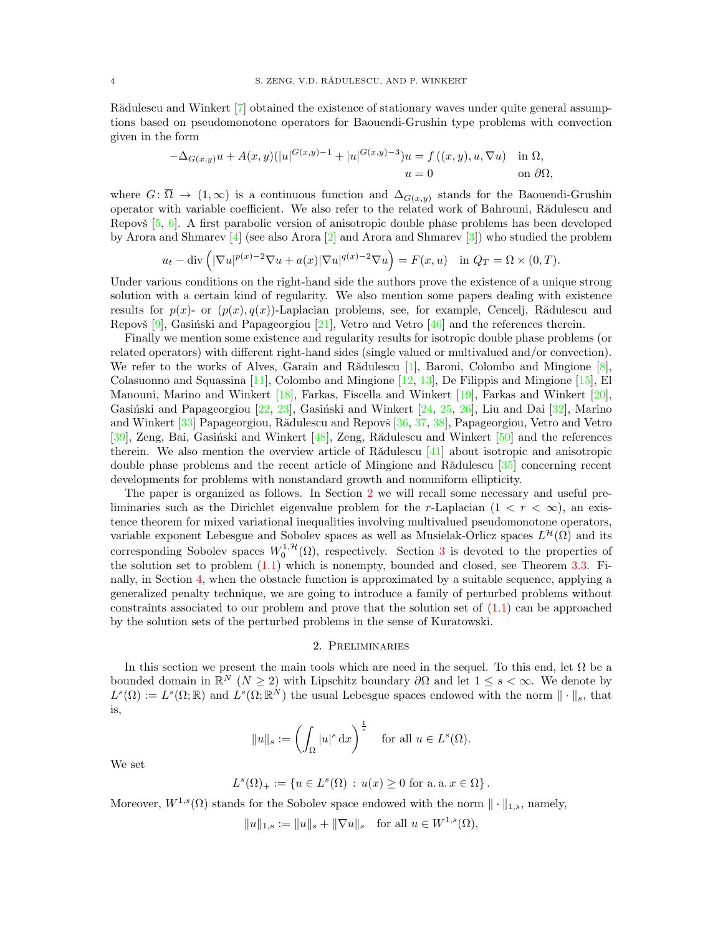R $\ddot{\text{a}}$ dulescu and Winkert [\[7\]](#page-20-3) obtained the existence of stationary waves under quite general assumptions based on pseudomonotone operators for Baouendi-Grushin type problems with convection given in the form

$$
-\Delta_{G(x,y)}u + A(x,y)(|u|^{G(x,y)-1} + |u|^{G(x,y)-3})u = f((x,y), u, \nabla u) \text{ in } \Omega,
$$
  
  $u = 0 \text{ on } \partial\Omega,$ 

where  $G: \overline{\Omega} \to (1,\infty)$  is a continuous function and  $\Delta_{G(x,y)}$  stands for the Baouendi-Grushin operator with variable coefficient. We also refer to the related work of Bahrouni, Rădulescu and Repovš  $[5, 6]$  $[5, 6]$  $[5, 6]$ . A first parabolic version of anisotropic double phase problems has been developed by Arora and Shmarev [\[4\]](#page-20-5) (see also Arora [\[2\]](#page-20-6) and Arora and Shmarev [\[3\]](#page-20-7)) who studied the problem

$$
u_t - \operatorname{div}\left(|\nabla u|^{p(x)-2}\nabla u + a(x)|\nabla u|^{q(x)-2}\nabla u\right) = F(x, u) \quad \text{in } Q_T = \Omega \times (0, T).
$$

Under various conditions on the right-hand side the authors prove the existence of a unique strong solution with a certain kind of regularity. We also mention some papers dealing with existence results for  $p(x)$ - or  $(p(x), q(x))$ -Laplacian problems, see, for example, Cencelj, Rădulescu and Repovš  $[9]$ , Gasiński and Papageorgiou  $[21]$ , Vetro and Vetro  $[46]$  and the references therein.

Finally we mention some existence and regularity results for isotropic double phase problems (or related operators) with different right-hand sides (single valued or multivalued and/or convection). We refer to the works of Alves, Garain and Rădulescu [\[1\]](#page-20-9), Baroni, Colombo and Mingione  $[8]$ , Colasuonno and Squassina [\[11\]](#page-20-11), Colombo and Mingione [\[12,](#page-20-12) [13\]](#page-20-13), De Filippis and Mingione [\[15\]](#page-20-14), El Manouni, Marino and Winkert [\[18\]](#page-21-8), Farkas, Fiscella and Winkert [\[19\]](#page-21-9), Farkas and Winkert [\[20\]](#page-21-10), Gasiński and Papageorgiou  $[22, 23]$  $[22, 23]$  $[22, 23]$ , Gasiński and Winkert  $[24, 25, 26]$  $[24, 25, 26]$  $[24, 25, 26]$  $[24, 25, 26]$  $[24, 25, 26]$ , Liu and Dai  $[32]$ , Marino and Winkert [\[33\]](#page-21-17) Papageorgiou, Rădulescu and Repovš [\[36,](#page-21-18) [37,](#page-21-19) [38\]](#page-21-20), Papageorgiou, Vetro and Vetro  $[39]$ , Zeng, Bai, Gasiński and Winkert  $[48]$ , Zeng, Rădulescu and Winkert  $[50]$  and the references therein. We also mention the overview article of R $\ddot{\text{add}}$ ulescu [\[41\]](#page-21-23) about isotropic and anisotropic double phase problems and the recent article of Mingione and R $\ddot{\text{add}}$ ulescu [\[35\]](#page-21-24) concerning recent developments for problems with nonstandard growth and nonuniform ellipticity.

The paper is organized as follows. In Section [2](#page-3-0) we will recall some necessary and useful preliminaries such as the Dirichlet eigenvalue problem for the r-Laplacian  $(1 < r < \infty)$ , an existence theorem for mixed variational inequalities involving multivalued pseudomonotone operators, variable exponent Lebesgue and Sobolev spaces as well as Musielak-Orlicz spaces  $L^{\mathcal{H}}(\Omega)$  and its corresponding Sobolev spaces  $W_0^{1,\mathcal{H}}(\Omega)$ , respectively. Section [3](#page-7-0) is devoted to the properties of the solution set to problem [\(1.1\)](#page-1-0) which is nonempty, bounded and closed, see Theorem [3.3.](#page-8-0) Finally, in Section [4,](#page-13-0) when the obstacle function is approximated by a suitable sequence, applying a generalized penalty technique, we are going to introduce a family of perturbed problems without constraints associated to our problem and prove that the solution set of [\(1.1\)](#page-1-0) can be approached by the solution sets of the perturbed problems in the sense of Kuratowski.

## 2. Preliminaries

<span id="page-3-0"></span>In this section we present the main tools which are need in the sequel. To this end, let  $\Omega$  be a bounded domain in  $\mathbb{R}^N$  ( $N \geq 2$ ) with Lipschitz boundary  $\partial\Omega$  and let  $1 \leq s < \infty$ . We denote by  $L^s(\Omega) := L^s(\Omega;\mathbb{R})$  and  $L^s(\Omega;\mathbb{R}^N)$  the usual Lebesgue spaces endowed with the norm  $\|\cdot\|_s$ , that is,

$$
||u||_s := \left(\int_{\Omega} |u|^s dx\right)^{\frac{1}{s}}
$$
 for all  $u \in L^s(\Omega)$ .

We set

$$
L^{s}(\Omega)_{+} := \{ u \in L^{s}(\Omega) : u(x) \ge 0 \text{ for a. a. } x \in \Omega \}.
$$

Moreover,  $W^{1,s}(\Omega)$  stands for the Sobolev space endowed with the norm  $\|\cdot\|_{1,s}$ , namely,

 $||u||_{1,s} := ||u||_s + ||\nabla u||_s$  for all  $u \in W^{1,s}(\Omega)$ ,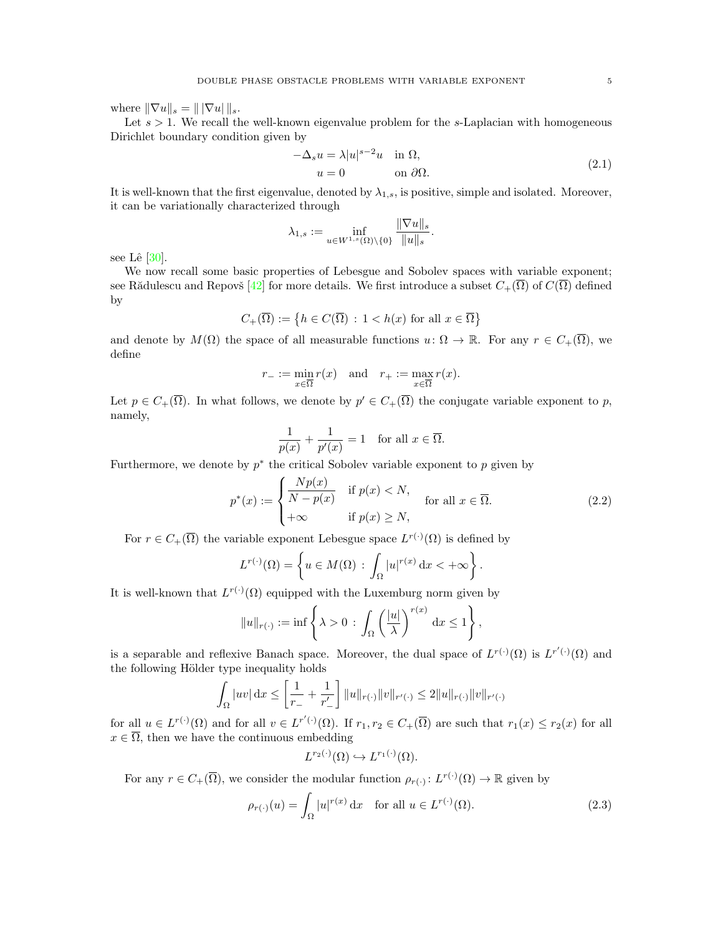where  $\|\nabla u\|_{s} = \|\nabla u\|_{s}.$ 

Let  $s > 1$ . We recall the well-known eigenvalue problem for the s-Laplacian with homogeneous Dirichlet boundary condition given by

<span id="page-4-2"></span>
$$
-\Delta_s u = \lambda |u|^{s-2}u \quad \text{in } \Omega,
$$
  
  $u = 0 \qquad \text{on } \partial\Omega.$  (2.1)

It is well-known that the first eigenvalue, denoted by  $\lambda_{1,s}$ , is positive, simple and isolated. Moreover, it can be variationally characterized through

$$
\lambda_{1,s} := \inf_{u \in W^{1,s}(\Omega) \setminus \{0\}} \frac{\|V u\|_s}{\|u\|_s}.
$$

 $k \rightarrow \infty$ 

see Lê  $[30]$ .

We now recall some basic properties of Lebesgue and Sobolev spaces with variable exponent; see Rădulescu and Repovš [\[42\]](#page-21-26) for more details. We first introduce a subset  $C_+(\overline{\Omega})$  of  $C(\overline{\Omega})$  defined by

$$
C_{+}(\overline{\Omega}) := \{ h \in C(\overline{\Omega}) : 1 < h(x) \text{ for all } x \in \overline{\Omega} \}
$$

and denote by  $M(\Omega)$  the space of all measurable functions  $u: \Omega \to \mathbb{R}$ . For any  $r \in C_+(\overline{\Omega})$ , we define

$$
r_{-} := \min_{x \in \overline{\Omega}} r(x) \quad \text{and} \quad r_{+} := \max_{x \in \overline{\Omega}} r(x).
$$

Let  $p \in C_+(\overline{\Omega})$ . In what follows, we denote by  $p' \in C_+(\overline{\Omega})$  the conjugate variable exponent to p, namely,

<span id="page-4-1"></span>
$$
\frac{1}{p(x)} + \frac{1}{p'(x)} = 1 \quad \text{for all } x \in \overline{\Omega}.
$$

Furthermore, we denote by  $p^*$  the critical Sobolev variable exponent to  $p$  given by

$$
p^*(x) := \begin{cases} \frac{Np(x)}{N - p(x)} & \text{if } p(x) < N, \\ +\infty & \text{if } p(x) \ge N, \end{cases} \quad \text{for all } x \in \overline{\Omega}. \tag{2.2}
$$

For  $r \in C_+(\overline{\Omega})$  the variable exponent Lebesgue space  $L^{r(\cdot)}(\Omega)$  is defined by

$$
L^{r(\cdot)}(\Omega) = \left\{ u \in M(\Omega) \, : \, \int_{\Omega} |u|^{r(x)} \, \mathrm{d}x < +\infty \right\}.
$$

It is well-known that  $L^{r(\cdot)}(\Omega)$  equipped with the Luxemburg norm given by

$$
||u||_{r(\cdot)} := \inf \left\{ \lambda > 0 \, : \, \int_{\Omega} \left( \frac{|u|}{\lambda} \right)^{r(x)} dx \le 1 \right\},\,
$$

is a separable and reflexive Banach space. Moreover, the dual space of  $L^{r(\cdot)}(\Omega)$  is  $L^{r'(\cdot)}(\Omega)$  and the following Hölder type inequality holds

$$
\int_{\Omega} |uv| \, {\rm d} x \leq \left[ \frac{1}{r_{-}} + \frac{1}{r'_{-}} \right] \|u\|_{r(\cdot)} \|v\|_{r'(\cdot)} \leq 2 \|u\|_{r(\cdot)} \|v\|_{r'(\cdot)}
$$

for all  $u \in L^{r(\cdot)}(\Omega)$  and for all  $v \in L^{r'(\cdot)}(\Omega)$ . If  $r_1, r_2 \in C_+(\overline{\Omega})$  are such that  $r_1(x) \le r_2(x)$  for all  $x \in \overline{\Omega}$ , then we have the continuous embedding

<span id="page-4-0"></span>
$$
L^{r_2(\cdot)}(\Omega) \hookrightarrow L^{r_1(\cdot)}(\Omega).
$$

For any  $r \in C_+(\overline{\Omega})$ , we consider the modular function  $\rho_{r(\cdot)}: L^{r(\cdot)}(\Omega) \to \mathbb{R}$  given by

$$
\rho_{r(\cdot)}(u) = \int_{\Omega} |u|^{r(x)} dx \quad \text{for all } u \in L^{r(\cdot)}(\Omega). \tag{2.3}
$$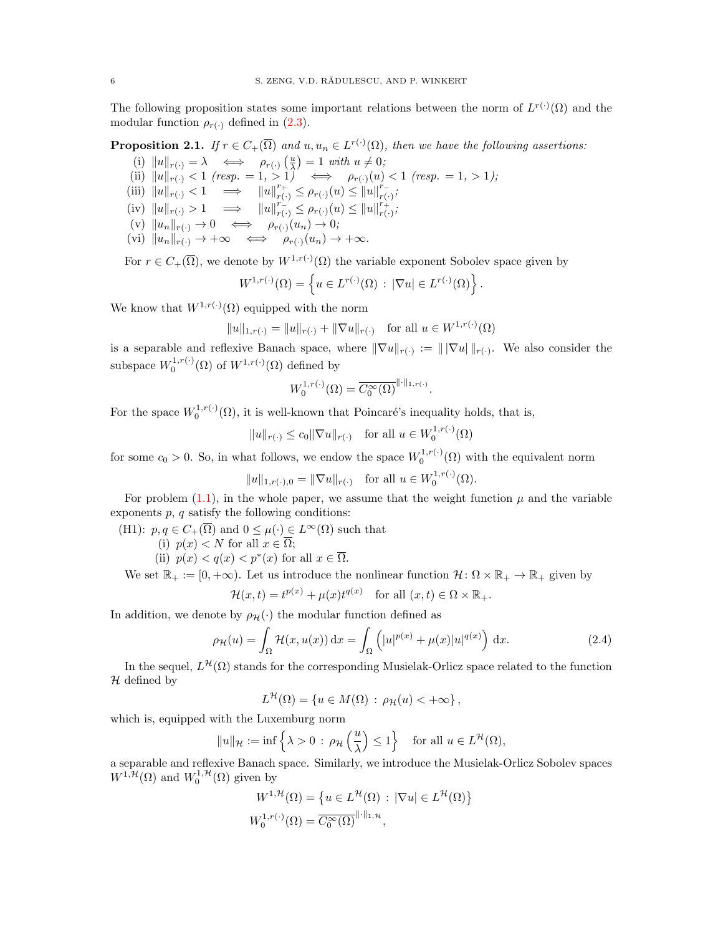The following proposition states some important relations between the norm of  $L^{r(\cdot)}(\Omega)$  and the modular function  $\rho_{r(.)}$  defined in [\(2.3\)](#page-4-0).

<span id="page-5-1"></span>**Proposition 2.1.** If  $r \in C_+(\overline{\Omega})$  and  $u, u_n \in L^{r(\cdot)}(\Omega)$ , then we have the following assertions:

(i)  $||u||_{r(\cdot)} = \lambda \iff \rho_{r(\cdot)}\left(\frac{u}{\lambda}\right) = 1 \text{ with } u \neq 0;$ (ii)  $||u||_{r(\cdot)} < 1$  (resp. = 1, > 1)  $\iff \rho_{r(\cdot)}(u) < 1$  (resp. = 1, > 1); (iii)  $||u||_{r(\cdot)} < 1 \implies ||u||_{r(\cdot)}^{r_+} \leq \rho_{r(\cdot)}(u) \leq ||u||_{r(\cdot)}^{r_-}$  $_{r(\cdot)}^{r}$ ;  $(iv) \|u\|_{r(\cdot)} > 1 \implies \|u\|_{r(\cdot)}^{r(\cdot)} \leq \rho_{r(\cdot)}(u) \leq \|u\|_{r(\cdot)}^{r(\cdot)}$  $_{r(\cdot)}^{r_+};$  $(v) \|u_n\|_{r(\cdot)} \to 0 \iff \rho_{r(\cdot)}(u_n) \to 0;$ (vi)  $||u_n||_{r(\cdot)} \to +\infty \iff \rho_{r(\cdot)}(u_n) \to +\infty.$ 

For  $r \in C_+(\overline{\Omega})$ , we denote by  $W^{1,r(\cdot)}(\Omega)$  the variable exponent Sobolev space given by

$$
W^{1,r(\cdot)}(\Omega) = \left\{ u \in L^{r(\cdot)}(\Omega) : |\nabla u| \in L^{r(\cdot)}(\Omega) \right\}.
$$

We know that  $W^{1,r(\cdot)}(\Omega)$  equipped with the norm

$$
||u||_{1,r(\cdot)} = ||u||_{r(\cdot)} + ||\nabla u||_{r(\cdot)} \text{ for all } u \in W^{1,r(\cdot)}(\Omega)
$$

is a separable and reflexive Banach space, where  $\|\nabla u\|_{r(.)} := \|\nabla u\|_{r(.)}$ . We also consider the subspace  $W_0^{1,r(\cdot)}(\Omega)$  of  $W^{1,r(\cdot)}(\Omega)$  defined by

$$
W_0^{1,r(\cdot)}(\Omega) = \overline{C_0^{\infty}(\Omega)}^{\|\cdot\|_{1,r(\cdot)}}.
$$

For the space  $W_0^{1,r(\cdot)}(\Omega)$ , it is well-known that Poincaré's inequality holds, that is,

$$
||u||_{r(\cdot)} \leq c_0 ||\nabla u||_{r(\cdot)}
$$
 for all  $u \in W_0^{1,r(\cdot)}(\Omega)$ 

for some  $c_0 > 0$ . So, in what follows, we endow the space  $W_0^{1,r(\cdot)}(\Omega)$  with the equivalent norm

$$
||u||_{1,r(\cdot),0} = ||\nabla u||_{r(\cdot)}
$$
 for all  $u \in W_0^{1,r(\cdot)}(\Omega)$ .

For problem [\(1.1\)](#page-1-0), in the whole paper, we assume that the weight function  $\mu$  and the variable exponents  $p$ ,  $q$  satisfy the following conditions:

(H1):  $p, q \in C_+(\overline{\Omega})$  and  $0 \leq \mu(\cdot) \in L^{\infty}(\Omega)$  such that

(i) 
$$
p(x) < N
$$
 for all  $x \in \overline{\Omega}$ ;

(ii)  $p(x) < q(x) < p^*(x)$  for all  $x \in \overline{\Omega}$ .

We set  $\mathbb{R}_+ := [0, +\infty)$ . Let us introduce the nonlinear function  $\mathcal{H} \colon \Omega \times \mathbb{R}_+ \to \mathbb{R}_+$  given by

$$
\mathcal{H}(x,t) = t^{p(x)} + \mu(x)t^{q(x)} \quad \text{for all } (x,t) \in \Omega \times \mathbb{R}_+.
$$

In addition, we denote by  $\rho_{\mathcal{H}}(\cdot)$  the modular function defined as

$$
\rho_{\mathcal{H}}(u) = \int_{\Omega} \mathcal{H}(x, u(x)) dx = \int_{\Omega} \left( |u|^{p(x)} + \mu(x)|u|^{q(x)} \right) dx.
$$
 (2.4)

In the sequel,  $L^{\mathcal{H}}(\Omega)$  stands for the corresponding Musielak-Orlicz space related to the function  $H$  defined by

<span id="page-5-0"></span>
$$
L^{\mathcal{H}}(\Omega) = \{ u \in M(\Omega) : \rho_{\mathcal{H}}(u) < +\infty \},
$$

which is, equipped with the Luxemburg norm

$$
||u||_{\mathcal{H}} := \inf \left\{ \lambda > 0 \, : \, \rho_{\mathcal{H}} \left( \frac{u}{\lambda} \right) \leq 1 \right\} \quad \text{for all } u \in L^{\mathcal{H}}(\Omega),
$$

a separable and reflexive Banach space. Similarly, we introduce the Musielak-Orlicz Sobolev spaces  $W^{1,\mathcal{H}}(\Omega)$  and  $W_0^{1,\mathcal{H}}(\Omega)$  given by

$$
W^{1, \mathcal{H}}(\Omega) = \{ u \in L^{\mathcal{H}}(\Omega) : |\nabla u| \in L^{\mathcal{H}}(\Omega) \}
$$
  

$$
W_0^{1, r(\cdot)}(\Omega) = \overline{C_0^{\infty}(\Omega)}^{\|\cdot\|_{1, \mathcal{H}}},
$$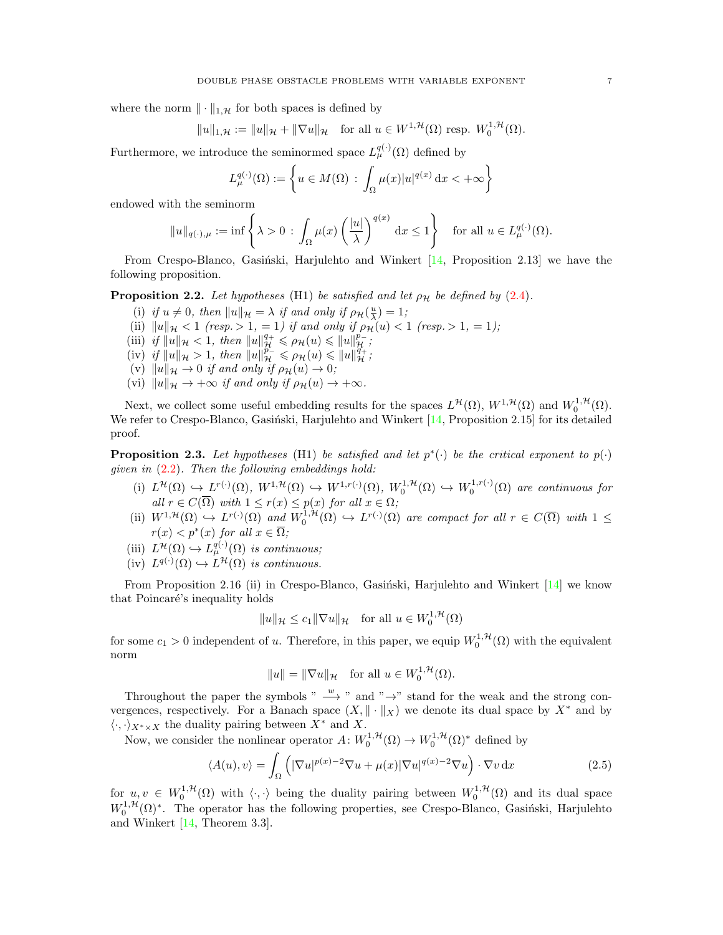where the norm  $\|\cdot\|_{1,\mathcal{H}}$  for both spaces is defined by

$$
||u||_{1,\mathcal{H}} := ||u||_{\mathcal{H}} + ||\nabla u||_{\mathcal{H}} \quad \text{for all } u \in W^{1,\mathcal{H}}(\Omega) \text{ resp. } W_0^{1,\mathcal{H}}(\Omega).
$$

Furthermore, we introduce the seminormed space  $L_{\mu}^{q(\cdot)}(\Omega)$  defined by

$$
L_{\mu}^{q(\cdot)}(\Omega) := \left\{ u \in M(\Omega) \, : \, \int_{\Omega} \mu(x) |u|^{q(x)} \, \mathrm{d}x < +\infty \right\}
$$

endowed with the seminorm

$$
||u||_{q(\cdot),\mu} := \inf \left\{\lambda > 0 \, : \, \int_{\Omega} \mu(x) \left(\frac{|u|}{\lambda}\right)^{q(x)} dx \le 1\right\} \quad \text{for all } u \in L^{q(\cdot)}_{\mu}(\Omega).
$$

From Crespo-Blanco, Gasiński, Harjulehto and Winkert  $[14,$  Proposition 2.13] we have the following proposition.

<span id="page-6-2"></span>**Proposition 2.2.** Let hypotheses (H1) be satisfied and let  $\rho_{\mathcal{H}}$  be defined by [\(2.4\)](#page-5-0).

- (i) if  $u \neq 0$ , then  $||u||_{\mathcal{H}} = \lambda$  if and only if  $\rho_{\mathcal{H}}(\frac{u}{\lambda}) = 1$ ;
- (ii)  $||u||_{\mathcal{H}} < 1$  (resp.  $> 1, = 1$ ) if and only if  $\rho_{\mathcal{H}}(u) < 1$  (resp.  $> 1, = 1$ );
- (iii) if  $||u||_{\mathcal{H}} < 1$ , then  $||u||_{\mathcal{H}}^{q_+} \leq \rho_{\mathcal{H}}(u) \leq ||u||_{\mathcal{H}}^{p_-}$ ;
- (iv) if  $||u||_{\mathcal{H}} > 1$ , then  $||u||_{\mathcal{H}}^{\rho_-} \leq \rho_{\mathcal{H}}(u) \leq ||u||_{\mathcal{H}}^{q_+}$ ;
- (v)  $||u||_{\mathcal{H}} \to 0$  if and only if  $\rho_{\mathcal{H}}(u) \to 0;$
- (vi)  $\|u\|_{\mathcal{H}} \to +\infty$  if and only if  $\rho_{\mathcal{H}}(u) \to +\infty$ .

Next, we collect some useful embedding results for the spaces  $L^{\mathcal{H}}(\Omega)$ ,  $W^{1,\mathcal{H}}(\Omega)$  and  $W_0^{1,\mathcal{H}}(\Omega)$ . We refer to Crespo-Blanco, Gasiński, Harjulehto and Winkert [\[14,](#page-20-0) Proposition 2.15] for its detailed proof.

<span id="page-6-1"></span>**Proposition 2.3.** Let hypotheses (H1) be satisfied and let  $p^*(\cdot)$  be the critical exponent to  $p(\cdot)$ given in  $(2.2)$ . Then the following embeddings hold:

- (i)  $L^{\mathcal{H}}(\Omega) \hookrightarrow L^{r(\cdot)}(\Omega), W^{1,\mathcal{H}}(\Omega) \hookrightarrow W^{1,r(\cdot)}(\Omega), W^{1,\mathcal{H}}_0(\Omega) \hookrightarrow W^{1,r(\cdot)}_0(\Omega)$  are continuous for all  $r \in C(\overline{\Omega})$  with  $1 \leq r(x) \leq p(x)$  for all  $x \in \Omega$ ;
- (ii)  $W^{1,\mathcal{H}}(\Omega) \hookrightarrow L^{r(\cdot)}(\Omega)$  and  $W_0^{1,\mathcal{H}}(\Omega) \hookrightarrow L^{r(\cdot)}(\Omega)$  are compact for all  $r \in C(\overline{\Omega})$  with  $1 \leq$  $r(x) < p^*(x)$  for all  $x \in \overline{\Omega}$ ;
- (iii)  $L^{\mathcal{H}}(\Omega) \hookrightarrow L_{\mu}^{q(\cdot)}(\Omega)$  is continuous;
- (iv)  $L^{q(\cdot)}(\Omega) \hookrightarrow L^{\mathcal{H}}(\Omega)$  is continuous.

From Proposition 2.16 (ii) in Crespo-Blanco, Gasiński, Harjulehto and Winkert  $[14]$  we know that Poincaré's inequality holds

$$
||u||_{\mathcal{H}} \le c_1 ||\nabla u||_{\mathcal{H}} \quad \text{for all } u \in W_0^{1,\mathcal{H}}(\Omega)
$$

for some  $c_1 > 0$  independent of u. Therefore, in this paper, we equip  $W_0^{1,\mathcal{H}}(\Omega)$  with the equivalent norm

$$
||u|| = ||\nabla u||_{\mathcal{H}} \quad \text{for all } u \in W_0^{1,\mathcal{H}}(\Omega).
$$

Throughout the paper the symbols "  $\stackrel{w}{\longrightarrow}$ " and " →" stand for the weak and the strong convergences, respectively. For a Banach space  $(X, \|\cdot\|_X)$  we denote its dual space by  $X^*$  and by  $\langle \cdot, \cdot \rangle_{X^* \times X}$  the duality pairing between  $X^*$  and X.

Now, we consider the nonlinear operator  $A: W_0^{1, H}(\Omega) \to W_0^{1, H}(\Omega)^*$  defined by

<span id="page-6-0"></span>
$$
\langle A(u), v \rangle = \int_{\Omega} \left( |\nabla u|^{p(x)-2} \nabla u + \mu(x) |\nabla u|^{q(x)-2} \nabla u \right) \cdot \nabla v \, \mathrm{d}x \tag{2.5}
$$

for  $u, v \in W_0^{1, H}(\Omega)$  with  $\langle \cdot, \cdot \rangle$  being the duality pairing between  $W_0^{1, H}(\Omega)$  and its dual space  $W_0^{1, H}(\Omega)^*$ . The operator has the following properties, see Crespo-Blanco, Gasiński, Harjulehto and Winkert [\[14,](#page-20-0) Theorem 3.3].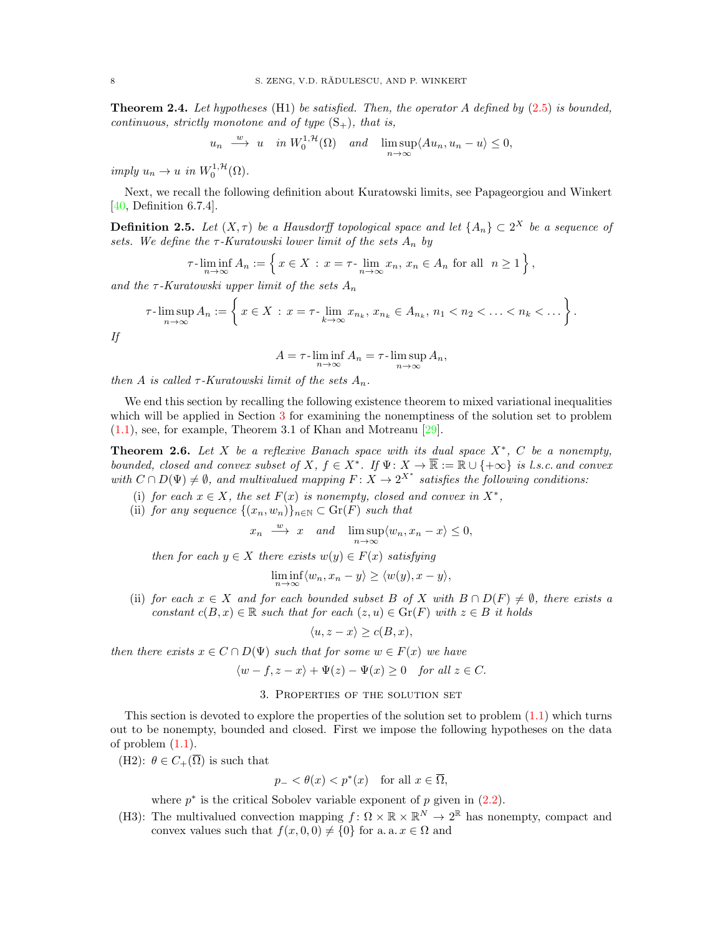<span id="page-7-2"></span>**Theorem 2.4.** Let hypotheses (H1) be satisfied. Then, the operator A defined by  $(2.5)$  is bounded, continuous, strictly monotone and of type  $(S_+)$ , that is,

$$
u_n \xrightarrow{w} u
$$
 in  $W_0^{1,\mathcal{H}}(\Omega)$  and  $\limsup_{n\to\infty} \langle Au_n, u_n - u \rangle \leq 0$ ,

imply  $u_n \to u$  in  $W_0^{1, \mathcal{H}}(\Omega)$ .

Next, we recall the following definition about Kuratowski limits, see Papageorgiou and Winkert [\[40,](#page-21-27) Definition 6.7.4].

**Definition 2.5.** Let  $(X, \tau)$  be a Hausdorff topological space and let  $\{A_n\} \subset 2^X$  be a sequence of sets. We define the  $\tau$ -Kuratowski lower limit of the sets  $A_n$  by

 $\tau\text{-}\liminf_{n\to\infty} A_n := \left\{ x \in X \,:\, x = \tau\text{-}\lim_{n\to\infty} x_n, x_n \in A_n \text{ for all } n \geq 1 \right\},\$ 

and the  $\tau$ -Kuratowski upper limit of the sets  $A_n$ 

$$
\tau\text{-}\limsup_{n\to\infty} A_n := \left\{ x \in X : x = \tau\text{-}\lim_{k\to\infty} x_{n_k}, x_{n_k} \in A_{n_k}, n_1 < n_2 < \ldots < n_k < \ldots \right\}.
$$

If

$$
A = \tau \cdot \liminf_{n \to \infty} A_n = \tau \cdot \limsup_{n \to \infty} A_n,
$$

then A is called  $\tau$ -Kuratowski limit of the sets  $A_n$ .

We end this section by recalling the following existence theorem to mixed variational inequalities which will be applied in Section [3](#page-7-0) for examining the nonemptiness of the solution set to problem [\(1.1\)](#page-1-0), see, for example, Theorem 3.1 of Khan and Motreanu [\[29\]](#page-21-28).

<span id="page-7-1"></span>**Theorem 2.6.** Let X be a reflexive Banach space with its dual space  $X^*$ , C be a nonempty, bounded, closed and convex subset of X,  $f \in X^*$ . If  $\Psi \colon X \to \overline{\mathbb{R}} := \mathbb{R} \cup \{+\infty\}$  is l.s.c. and convex with  $C \cap D(\Psi) \neq \emptyset$ , and multivalued mapping  $F: X \to 2^{X^*}$  satisfies the following conditions:

- (i) for each  $x \in X$ , the set  $F(x)$  is nonempty, closed and convex in  $X^*$ ,
- (ii) for any sequence  $\{(x_n, w_n)\}_{n \in \mathbb{N}} \subset \mathrm{Gr}(F)$  such that

$$
x_n \xrightarrow{w} x
$$
 and  $\limsup_{n \to \infty} \langle w_n, x_n - x \rangle \leq 0$ ,

then for each  $y \in X$  there exists  $w(y) \in F(x)$  satisfying

$$
\liminf_{n \to \infty} \langle w_n, x_n - y \rangle \ge \langle w(y), x - y \rangle,
$$

(ii) for each  $x \in X$  and for each bounded subset B of X with  $B \cap D(F) \neq \emptyset$ , there exists a constant  $c(B, x) \in \mathbb{R}$  such that for each  $(z, u) \in Gr(F)$  with  $z \in B$  it holds

$$
\langle u, z - x \rangle \ge c(B, x),
$$

then there exists  $x \in C \cap D(\Psi)$  such that for some  $w \in F(x)$  we have

$$
\langle w - f, z - x \rangle + \Psi(z) - \Psi(x) \ge 0 \quad for all  $z \in C$ .
$$

#### 3. Properties of the solution set

<span id="page-7-0"></span>This section is devoted to explore the properties of the solution set to problem [\(1.1\)](#page-1-0) which turns out to be nonempty, bounded and closed. First we impose the following hypotheses on the data of problem  $(1.1)$ .

(H2):  $\theta \in C_+(\overline{\Omega})$  is such that

$$
p_- < \theta(x) < p^*(x) \quad \text{for all } x \in \overline{\Omega},
$$

where  $p^*$  is the critical Sobolev variable exponent of p given in  $(2.2)$ .

(H3): The multivalued convection mapping  $f: \Omega \times \mathbb{R} \times \mathbb{R}^N \to 2^{\mathbb{R}}$  has nonempty, compact and convex values such that  $f(x, 0, 0) \neq \{0\}$  for a. a.  $x \in \Omega$  and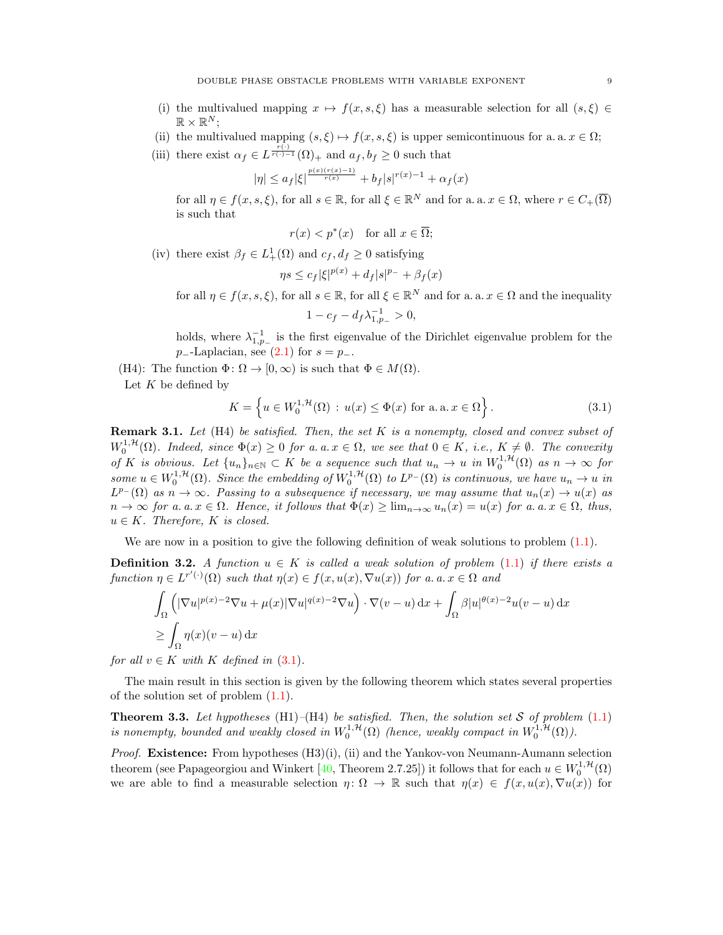- (i) the multivalued mapping  $x \mapsto f(x, s, \xi)$  has a measurable selection for all  $(s, \xi) \in$  $\mathbb{R} \times \mathbb{R}^N$ ;
- (ii) the multivalued mapping  $(s, \xi) \mapsto f(x, s, \xi)$  is upper semicontinuous for a. a.  $x \in \Omega$ ;
- (iii) there exist  $\alpha_f \in L^{\frac{r(\cdot)}{r(\cdot)-1}}(\Omega)_+$  and  $a_f, b_f \geq 0$  such that

$$
|\eta| \leq a_f |\xi|^{\frac{p(x)(r(x)-1)}{r(x)}} + b_f |s|^{r(x)-1} + \alpha_f(x)
$$

for all  $\eta \in f(x, s, \xi)$ , for all  $s \in \mathbb{R}$ , for all  $\xi \in \mathbb{R}^N$  and for a. a.  $x \in \Omega$ , where  $r \in C_+(\overline{\Omega})$ is such that

$$
r(x) < p^*(x) \quad \text{for all } x \in \overline{\Omega};
$$

(iv) there exist  $\beta_f \in L^1_+(\Omega)$  and  $c_f, d_f \geq 0$  satisfying

$$
\eta s \leq c_f |\xi|^{p(x)} + d_f |s|^{p_-} + \beta_f(x)
$$

for all  $\eta \in f(x, s, \xi)$ , for all  $s \in \mathbb{R}$ , for all  $\xi \in \mathbb{R}^N$  and for a. a.  $x \in \Omega$  and the inequality  $1 - c_f - d_f \lambda_{1,p_-}^{-1} > 0,$ 

holds, where  $\lambda_{1,p}^{-1}$  is the first eigenvalue of the Dirichlet eigenvalue problem for the p<sub>−</sub>-Laplacian, see  $(2.1)$  for  $s = p_-\$ .

(H4): The function  $\Phi \colon \Omega \to [0, \infty)$  is such that  $\Phi \in M(\Omega)$ .

Let  $K$  be defined by

<span id="page-8-1"></span>
$$
K = \left\{ u \in W_0^{1,\mathcal{H}}(\Omega) : u(x) \le \Phi(x) \text{ for a.a. } x \in \Omega \right\}.
$$
 (3.1)

**Remark 3.1.** Let  $(H4)$  be satisfied. Then, the set  $K$  is a nonempty, closed and convex subset of  $W_0^{1,\mathcal{H}}(\Omega)$ . Indeed, since  $\Phi(x) \geq 0$  for a. a.  $x \in \Omega$ , we see that  $0 \in K$ , i.e.,  $K \neq \emptyset$ . The convexity of K is obvious. Let  $\{u_n\}_{n\in\mathbb{N}}\subset K$  be a sequence such that  $u_n\to u$  in  $W_0^{1,\mathcal{H}}(\Omega)$  as  $n\to\infty$  for 0 some  $u \in W_0^{1,\mathcal{H}}(\Omega)$ . Since the embedding of  $W_0^{1,\mathcal{H}}(\Omega)$  to  $L^{p_-}(\Omega)$  is continuous, we have  $u_n \to u$  in  $L^{p-}(\Omega)$  as  $n \to \infty$ . Passing to a subsequence if necessary, we may assume that  $u_n(x) \to u(x)$  as  $n \to \infty$  for a. a.  $x \in \Omega$ . Hence, it follows that  $\Phi(x) \geq \lim_{n \to \infty} u_n(x) = u(x)$  for a. a.  $x \in \Omega$ , thus,  $u \in K$ . Therefore, K is closed.

We are now in a position to give the following definition of weak solutions to problem  $(1.1)$ .

**Definition 3.2.** A function  $u \in K$  is called a weak solution of problem [\(1.1\)](#page-1-0) if there exists a function  $\eta \in L^{r'(\cdot)}(\Omega)$  such that  $\eta(x) \in f(x, u(x), \nabla u(x))$  for a. a.  $x \in \Omega$  and

$$
\int_{\Omega} \left( |\nabla u|^{p(x)-2} \nabla u + \mu(x) |\nabla u|^{q(x)-2} \nabla u \right) \cdot \nabla (v-u) \, dx + \int_{\Omega} \beta |u|^{q(x)-2} u(v-u) \, dx
$$
\n
$$
\geq \int_{\Omega} \eta(x) (v-u) \, dx
$$

for all  $v \in K$  with K defined in  $(3.1)$ .

The main result in this section is given by the following theorem which states several properties of the solution set of problem [\(1.1\)](#page-1-0).

<span id="page-8-0"></span>**Theorem 3.3.** Let hypotheses (H1)–(H4) be satisfied. Then, the solution set S of problem [\(1.1\)](#page-1-0) is nonempty, bounded and weakly closed in  $W_0^{1,\mathcal{H}}(\Omega)$  (hence, weakly compact in  $W_0^{1,\mathcal{H}}(\Omega)$ ).

*Proof.* Existence: From hypotheses  $(H3)(i)$ , (ii) and the Yankov-von Neumann-Aumann selection theorem (see Papageorgiou and Winkert [\[40,](#page-21-27) Theorem 2.7.25]) it follows that for each  $u \in W_0^{1, \mathcal{H}}(\Omega)$ we are able to find a measurable selection  $\eta \colon \Omega \to \mathbb{R}$  such that  $\eta(x) \in f(x, u(x), \nabla u(x))$  for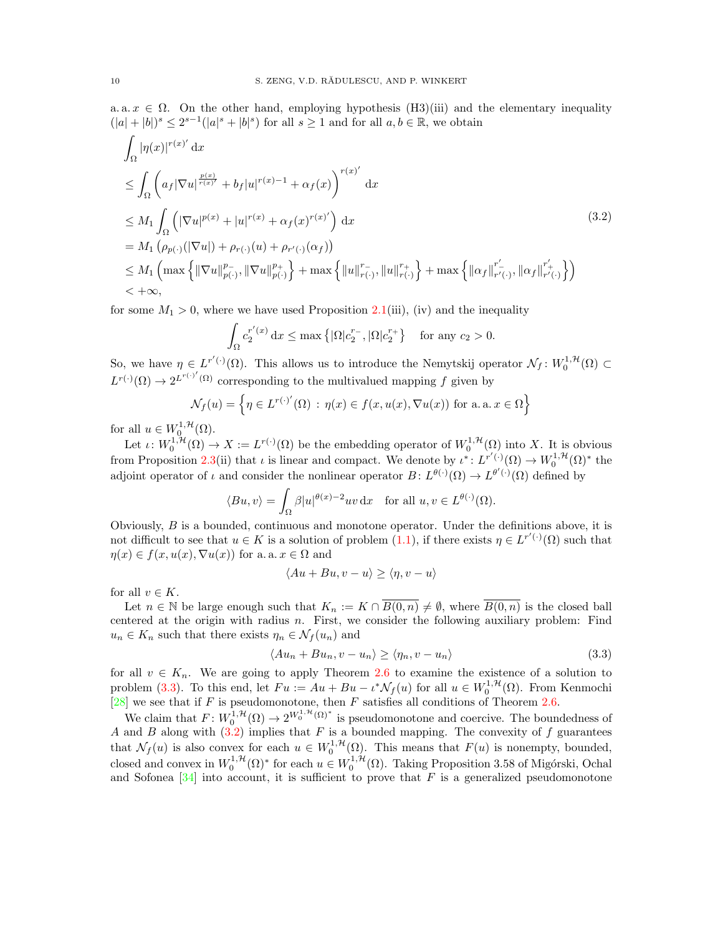a. a.  $x \in \Omega$ . On the other hand, employing hypothesis (H3)(iii) and the elementary inequality  $(|a|+|b|)^s \leq 2^{s-1}(|a|^s+|b|^s)$  for all  $s \geq 1$  and for all  $a, b \in \mathbb{R}$ , we obtain

$$
\int_{\Omega} |\eta(x)|^{r(x)'} dx
$$
\n
$$
\leq \int_{\Omega} \left( a_f |\nabla u|^{r(x)} + b_f |u|^{r(x)-1} + \alpha_f(x) \right)^{r(x)'} dx
$$
\n
$$
\leq M_1 \int_{\Omega} \left( |\nabla u|^{p(x)} + |u|^{r(x)} + \alpha_f(x)^{r(x)'} \right) dx
$$
\n
$$
= M_1 \left( \rho_{p(\cdot)}(|\nabla u|) + \rho_{r(\cdot)}(u) + \rho_{r'(\cdot)}(\alpha_f) \right)
$$
\n
$$
\leq M_1 \left( \max \left\{ ||\nabla u||_{p(\cdot)}^{p_{-}}, ||\nabla u||_{p(\cdot)}^{p_{+}} \right\} + \max \left\{ ||u||_{r(\cdot)}^{r_{-}}, ||u||_{r(\cdot)}^{r_{+}} \right\} + \max \left\{ ||\alpha_f||_{r'(\cdot)}^{r'_{-}}, ||\alpha_f||_{r'(\cdot)}^{r'_{+}} \right\} \right)
$$
\n
$$
< +\infty,
$$
\n(3.2)

for some  $M_1 > 0$ , where we have used Proposition [2.1\(](#page-5-1)iii), (iv) and the inequality

<span id="page-9-1"></span>
$$
\int_{\Omega} c_2^{r'(x)} dx \le \max \left\{ |\Omega| c_2^{r_-}, |\Omega| c_2^{r_+} \right\} \text{ for any } c_2 > 0.
$$

So, we have  $\eta \in L^{r'(\cdot)}(\Omega)$ . This allows us to introduce the Nemytskij operator  $\mathcal{N}_f: W_0^{1,\mathcal{H}}(\Omega) \subset$  $L^{r(\cdot)}(\Omega) \to 2^{L^{r(\cdot)'}(\Omega)}$  corresponding to the multivalued mapping f given by

$$
\mathcal{N}_f(u) = \left\{ \eta \in L^{r(\cdot)'}(\Omega) \, : \, \eta(x) \in f(x, u(x), \nabla u(x)) \text{ for a. a. } x \in \Omega \right\}
$$

for all  $u \in W_0^{1, \mathcal{H}}(\Omega)$ .

Let  $\iota: W_0^{1,\mathcal{H}}(\Omega) \to X := L^{r(\cdot)}(\Omega)$  be the embedding operator of  $W_0^{1,\mathcal{H}}(\Omega)$  into X. It is obvious from Proposition [2.3\(](#page-6-1)ii) that  $\iota$  is linear and compact. We denote by  $\iota^*: L^{r'(\cdot)}(\Omega) \to W_0^{1,\mathcal{H}}(\Omega)^*$  the adjoint operator of  $\iota$  and consider the nonlinear operator  $B: L^{\theta(\cdot)}(\Omega) \to L^{\theta'(\cdot)}(\Omega)$  defined by

$$
\langle Bu, v \rangle = \int_{\Omega} \beta |u|^{\theta(x)-2} uv \, \mathrm{d}x \quad \text{for all } u, v \in L^{\theta(\cdot)}(\Omega).
$$

Obviously,  $B$  is a bounded, continuous and monotone operator. Under the definitions above, it is not difficult to see that  $u \in K$  is a solution of problem [\(1.1\)](#page-1-0), if there exists  $\eta \in L^{r'(\cdot)}(\Omega)$  such that  $\eta(x) \in f(x, u(x), \nabla u(x))$  for a. a.  $x \in \Omega$  and

<span id="page-9-0"></span>
$$
\langle Au + Bu, v - u \rangle \ge \langle \eta, v - u \rangle
$$

for all  $v \in K$ .

Let  $n \in \mathbb{N}$  be large enough such that  $K_n := K \cap \overline{B(0,n)} \neq \emptyset$ , where  $\overline{B(0,n)}$  is the closed ball centered at the origin with radius  $n$ . First, we consider the following auxiliary problem: Find  $u_n \in K_n$  such that there exists  $\eta_n \in \mathcal{N}_f(u_n)$  and

$$
\langle Au_n + Bu_n, v - u_n \rangle \ge \langle \eta_n, v - u_n \rangle \tag{3.3}
$$

for all  $v \in K_n$ . We are going to apply Theorem [2.6](#page-7-1) to examine the existence of a solution to problem [\(3.3\)](#page-9-0). To this end, let  $Fu := Au + Bu - \iota^* \mathcal{N}_f(u)$  for all  $u \in W_0^{1, H}(\Omega)$ . From Kenmochi [\[28\]](#page-21-29) we see that if F is pseudomonotone, then F satisfies all conditions of Theorem [2.6.](#page-7-1)

We claim that  $F: W_0^{1,\mathcal{H}}(\Omega) \to 2^{W_0^{1,\mathcal{H}}(\Omega)^*}$  is pseudomonotone and coercive. The boundedness of A and B along with  $(3.2)$  implies that F is a bounded mapping. The convexity of f guarantees that  $\mathcal{N}_f(u)$  is also convex for each  $u \in W_0^{1,\mathcal{H}}(\Omega)$ . This means that  $F(u)$  is nonempty, bounded, closed and convex in  $W_0^{1, H}(\Omega)^*$  for each  $u \in W_0^{1, H}(\Omega)$ . Taking Proposition 3.58 of Migórski, Ochal and Sofonea  $[34]$  into account, it is sufficient to prove that F is a generalized pseudomonotone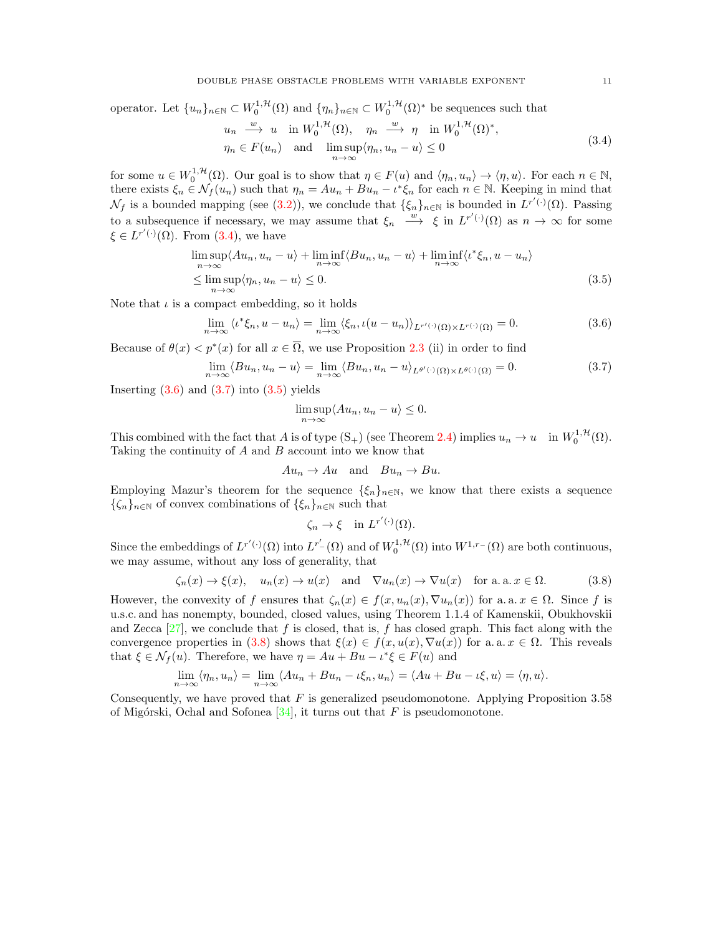operator. Let 
$$
\{u_n\}_{n\in\mathbb{N}} \subset W_0^{1,\mathcal{H}}(\Omega)
$$
 and  $\{\eta_n\}_{n\in\mathbb{N}} \subset W_0^{1,\mathcal{H}}(\Omega)^*$  be sequences such that  
\n $u_n \xrightarrow{w} u$  in  $W_0^{1,\mathcal{H}}(\Omega)$ ,  $\eta_n \xrightarrow{w} \eta$  in  $W_0^{1,\mathcal{H}}(\Omega)^*$ ,  
\n $\eta_n \in F(u_n)$  and  $\limsup_{n\to\infty} \langle \eta_n, u_n - u \rangle \leq 0$  (3.4)

for some  $u \in W_0^{1,\mathcal{H}}(\Omega)$ . Our goal is to show that  $\eta \in F(u)$  and  $\langle \eta_n, u_n \rangle \to \langle \eta, u \rangle$ . For each  $n \in \mathbb{N}$ , there exists  $\xi_n \in \mathcal{N}_f(u_n)$  such that  $\eta_n = Au_n + Bu_n - \iota^* \xi_n$  for each  $n \in \mathbb{N}$ . Keeping in mind that  $\mathcal{N}_f$  is a bounded mapping (see [\(3.2\)](#page-9-1)), we conclude that  $\{\xi_n\}_{n\in\mathbb{N}}$  is bounded in  $L^{r'(\cdot)}(\Omega)$ . Passing to a subsequence if necessary, we may assume that  $\xi_n \stackrel{w}{\longrightarrow} \xi$  in  $L^{r'(\cdot)}(\Omega)$  as  $n \to \infty$  for some  $\xi \in L^{r'(\cdot)}(\Omega)$ . From [\(3.4\)](#page-10-0), we have

$$
\limsup_{n \to \infty} \langle Au_n, u_n - u \rangle + \liminf_{n \to \infty} \langle Bu_n, u_n - u \rangle + \liminf_{n \to \infty} \langle \iota^* \xi_n, u - u_n \rangle
$$
  
\n
$$
\leq \limsup_{n \to \infty} \langle \eta_n, u_n - u \rangle \leq 0.
$$
\n(3.5)

Note that  $\iota$  is a compact embedding, so it holds

$$
\lim_{n \to \infty} \langle \iota^* \xi_n, u - u_n \rangle = \lim_{n \to \infty} \langle \xi_n, \iota(u - u_n) \rangle_{L^{r'(\cdot)}(\Omega) \times L^{r(\cdot)}(\Omega)} = 0.
$$
\n(3.6)

Because of  $\theta(x) < p^*(x)$  for all  $x \in \overline{\Omega}$ , we use Proposition [2.3](#page-6-1) (ii) in order to find

$$
\lim_{n \to \infty} \langle Bu_n, u_n - u \rangle = \lim_{n \to \infty} \langle Bu_n, u_n - u \rangle_{L^{\theta'(\cdot)}(\Omega) \times L^{\theta(\cdot)}(\Omega)} = 0.
$$
\n(3.7)

Inserting  $(3.6)$  and  $(3.7)$  into  $(3.5)$  yields

<span id="page-10-3"></span><span id="page-10-2"></span><span id="page-10-1"></span><span id="page-10-0"></span>
$$
\limsup_{n \to \infty} \langle Au_n, u_n - u \rangle \le 0.
$$

This combined with the fact that A is of type  $(S_+)$  (see Theorem [2.4\)](#page-7-2) implies  $u_n \to u$  in  $W_0^{1, \mathcal{H}}(\Omega)$ . Taking the continuity of A and B account into we know that

$$
Au_n \to Au \quad \text{and} \quad Bu_n \to Bu.
$$

Employing Mazur's theorem for the sequence  $\{\xi_n\}_{n\in\mathbb{N}}$ , we know that there exists a sequence  $\{\zeta_n\}_{n\in\mathbb{N}}$  of convex combinations of  $\{\xi_n\}_{n\in\mathbb{N}}$  such that

<span id="page-10-4"></span>
$$
\zeta_n \to \xi \quad \text{in } L^{r'(\cdot)}(\Omega).
$$

Since the embeddings of  $L^{r'(\cdot)}(\Omega)$  into  $L^{r'}(\Omega)$  and of  $W_0^{1,\mathcal{H}}(\Omega)$  into  $W^{1,r}(\Omega)$  are both continuous, we may assume, without any loss of generality, that

$$
\zeta_n(x) \to \xi(x), \quad u_n(x) \to u(x) \quad \text{and} \quad \nabla u_n(x) \to \nabla u(x) \quad \text{for a. a. } x \in \Omega. \tag{3.8}
$$

However, the convexity of f ensures that  $\zeta_n(x) \in f(x, u_n(x), \nabla u_n(x))$  for a. a.  $x \in \Omega$ . Since f is u.s.c. and has nonempty, bounded, closed values, using Theorem 1.1.4 of Kamenskii, Obukhovskii and Zecca  $[27]$ , we conclude that f is closed, that is, f has closed graph. This fact along with the convergence properties in [\(3.8\)](#page-10-4) shows that  $\xi(x) \in f(x, u(x), \nabla u(x))$  for a. a.  $x \in \Omega$ . This reveals that  $\xi \in \mathcal{N}_f(u)$ . Therefore, we have  $\eta = Au + Bu - \iota^* \xi \in F(u)$  and

$$
\lim_{n \to \infty} \langle \eta_n, u_n \rangle = \lim_{n \to \infty} \langle Au_n + Bu_n - \iota \xi_n, u_n \rangle = \langle Au + Bu - \iota \xi, u \rangle = \langle \eta, u \rangle.
$$

Consequently, we have proved that  $F$  is generalized pseudomonotone. Applying Proposition 3.58 of Migórski, Ochal and Sofonea  $[34]$ , it turns out that F is pseudomonotone.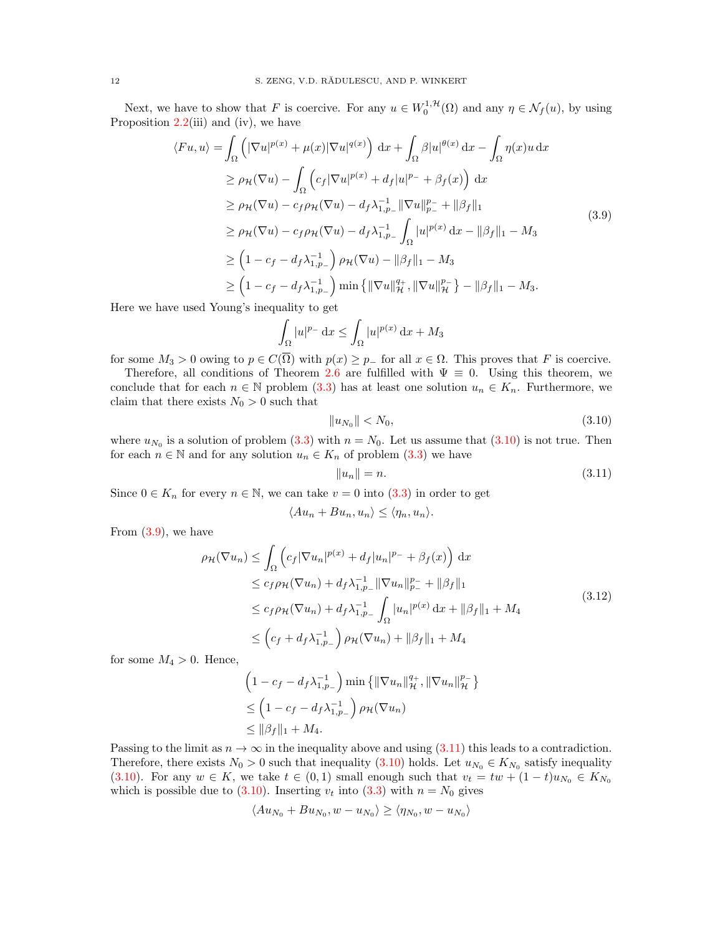Next, we have to show that F is coercive. For any  $u \in W_0^{1,\mathcal{H}}(\Omega)$  and any  $\eta \in \mathcal{N}_f(u)$ , by using Proposition  $2.2(iii)$  $2.2(iii)$  and (iv), we have

$$
\langle Fu, u \rangle = \int_{\Omega} \left( |\nabla u|^{p(x)} + \mu(x) |\nabla u|^{q(x)} \right) dx + \int_{\Omega} \beta |u|^{\theta(x)} dx - \int_{\Omega} \eta(x) u dx
$$
  
\n
$$
\geq \rho_{\mathcal{H}}(\nabla u) - \int_{\Omega} \left( c_f |\nabla u|^{p(x)} + d_f |u|^{p-} + \beta_f(x) \right) dx
$$
  
\n
$$
\geq \rho_{\mathcal{H}}(\nabla u) - c_f \rho_{\mathcal{H}}(\nabla u) - d_f \lambda_{1, p_-}^{-1} ||\nabla u||_{p_-}^{p-} + ||\beta_f||_1
$$
  
\n
$$
\geq \rho_{\mathcal{H}}(\nabla u) - c_f \rho_{\mathcal{H}}(\nabla u) - d_f \lambda_{1, p_-}^{-1} \int_{\Omega} |u|^{p(x)} dx - ||\beta_f||_1 - M_3
$$
  
\n
$$
\geq \left( 1 - c_f - d_f \lambda_{1, p_-}^{-1} \right) \rho_{\mathcal{H}}(\nabla u) - ||\beta_f||_1 - M_3
$$
  
\n
$$
\geq \left( 1 - c_f - d_f \lambda_{1, p_-}^{-1} \right) \min \{ ||\nabla u||_{\mathcal{H}}^{q+}, ||\nabla u||_{\mathcal{H}}^{p-} \} - ||\beta_f||_1 - M_3.
$$

Here we have used Young's inequality to get

<span id="page-11-1"></span>
$$
\int_{\Omega} |u|^{p_-} \, \mathrm{d}x \le \int_{\Omega} |u|^{p(x)} \, \mathrm{d}x + M_3
$$

for some  $M_3 > 0$  owing to  $p \in C(\overline{\Omega})$  with  $p(x) \geq p_{-}$  for all  $x \in \Omega$ . This proves that F is coercive.

Therefore, all conditions of Theorem [2.6](#page-7-1) are fulfilled with  $\Psi \equiv 0$ . Using this theorem, we conclude that for each  $n \in \mathbb{N}$  problem [\(3.3\)](#page-9-0) has at least one solution  $u_n \in K_n$ . Furthermore, we claim that there exists  $N_0 > 0$  such that

<span id="page-11-0"></span>
$$
||u_{N_0}|| < N_0,\t\t(3.10)
$$

where  $u_{N_0}$  is a solution of problem  $(3.3)$  with  $n = N_0$ . Let us assume that  $(3.10)$  is not true. Then for each  $n \in \mathbb{N}$  and for any solution  $u_n \in K_n$  of problem  $(3.3)$  we have

<span id="page-11-3"></span><span id="page-11-2"></span>
$$
||u_n|| = n.
$$
\n(3.11)

Since  $0 \in K_n$  for every  $n \in \mathbb{N}$ , we can take  $v = 0$  into  $(3.3)$  in order to get

$$
\langle Au_n + Bu_n, u_n \rangle \le \langle \eta_n, u_n \rangle.
$$

From  $(3.9)$ , we have

$$
\rho_{\mathcal{H}}(\nabla u_n) \leq \int_{\Omega} \left( c_f |\nabla u_n|^{p(x)} + d_f |u_n|^{p-} + \beta_f(x) \right) dx
$$
  
\n
$$
\leq c_f \rho_{\mathcal{H}}(\nabla u_n) + d_f \lambda_{1,p_{-}}^{-1} ||\nabla u_n||_{p_{-}}^{p-} + ||\beta_f||_1
$$
  
\n
$$
\leq c_f \rho_{\mathcal{H}}(\nabla u_n) + d_f \lambda_{1,p_{-}}^{-1} \int_{\Omega} |u_n|^{p(x)} dx + ||\beta_f||_1 + M_4
$$
  
\n
$$
\leq \left( c_f + d_f \lambda_{1,p_{-}}^{-1} \right) \rho_{\mathcal{H}}(\nabla u_n) + ||\beta_f||_1 + M_4
$$
\n(3.12)

for some  $M_4 > 0$ . Hence,

$$
\left(1 - c_f - d_f \lambda_{1, p_-}^{-1}\right) \min\left\{\|\nabla u_n\|_{\mathcal{H}}^{q_+}, \|\nabla u_n\|_{\mathcal{H}}^{p_-}\right\}
$$
  

$$
\leq \left(1 - c_f - d_f \lambda_{1, p_-}^{-1}\right) \rho_{\mathcal{H}}(\nabla u_n)
$$
  

$$
\leq \|\beta_f\|_1 + M_4.
$$

Passing to the limit as  $n \to \infty$  in the inequality above and using [\(3.11\)](#page-11-2) this leads to a contradiction. Therefore, there exists  $N_0 > 0$  such that inequality  $(3.10)$  holds. Let  $u_{N_0} \in K_{N_0}$  satisfy inequality [\(3.10\)](#page-11-0). For any  $w \in K$ , we take  $t \in (0,1)$  small enough such that  $v_t = tw + (1-t)u_{N_0} \in K_{N_0}$ which is possible due to [\(3.10\)](#page-11-0). Inserting  $v_t$  into [\(3.3\)](#page-9-0) with  $n = N_0$  gives

$$
\langle Au_{N_0} + Bu_{N_0}, w - u_{N_0} \rangle \ge \langle \eta_{N_0}, w - u_{N_0} \rangle
$$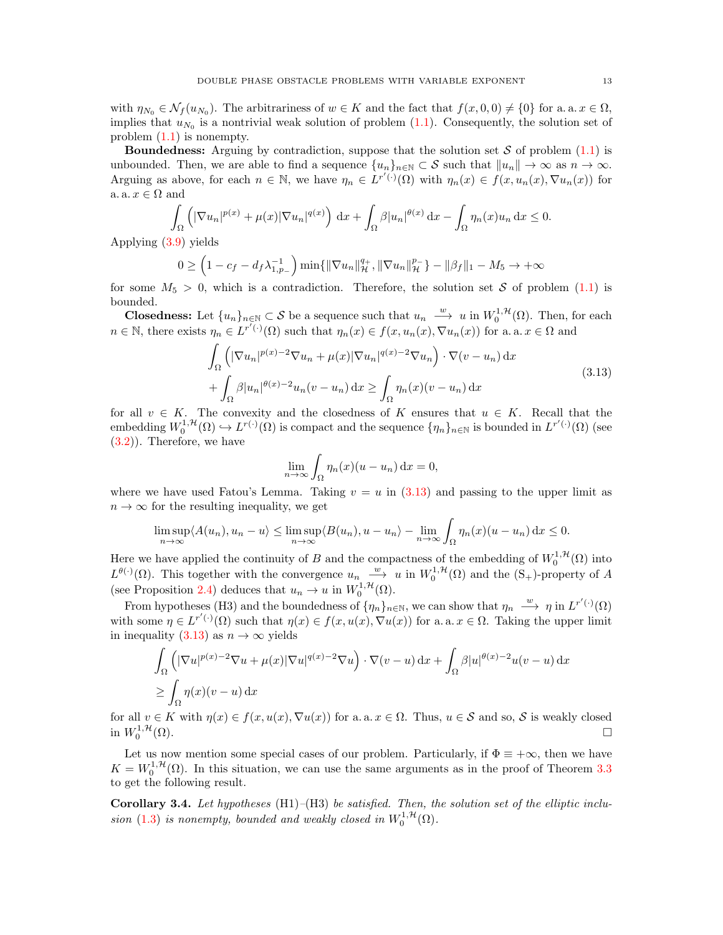with  $\eta_{N_0} \in \mathcal{N}_f(u_{N_0})$ . The arbitrariness of  $w \in K$  and the fact that  $f(x, 0, 0) \neq \{0\}$  for a. a.  $x \in \Omega$ , implies that  $u_{N_0}$  is a nontrivial weak solution of problem  $(1.1)$ . Consequently, the solution set of problem [\(1.1\)](#page-1-0) is nonempty.

**Boundedness:** Arguing by contradiction, suppose that the solution set S of problem  $(1.1)$  is unbounded. Then, we are able to find a sequence  $\{u_n\}_{n\in\mathbb{N}}\subset\mathcal{S}$  such that  $||u_n||\to\infty$  as  $n\to\infty$ . Arguing as above, for each  $n \in \mathbb{N}$ , we have  $\eta_n \in L^{r'(\cdot)}(\Omega)$  with  $\eta_n(x) \in f(x, u_n(x), \nabla u_n(x))$  for a. a.  $x \in \Omega$  and

$$
\int_{\Omega} \left( |\nabla u_n|^{p(x)} + \mu(x) |\nabla u_n|^{q(x)} \right) dx + \int_{\Omega} \beta |u_n|^{q(x)} dx - \int_{\Omega} \eta_n(x) u_n dx \le 0.
$$

Applying [\(3.9\)](#page-11-1) yields

$$
0 \ge \left(1 - c_f - d_f \lambda_{1, p_-}^{-1}\right) \min\{\|\nabla u_n\|_{\mathcal{H}}^{q_+}, \|\nabla u_n\|_{\mathcal{H}}^{p_-}\} - \|\beta_f\|_1 - M_5 \to +\infty
$$

for some  $M_5 > 0$ , which is a contradiction. Therefore, the solution set S of problem [\(1.1\)](#page-1-0) is bounded.

**Closedness:** Let  $\{u_n\}_{n\in\mathbb{N}}\subset\mathcal{S}$  be a sequence such that  $u_n \stackrel{w}{\longrightarrow} u$  in  $W_0^{1,\mathcal{H}}(\Omega)$ . Then, for each  $n \in \mathbb{N}$ , there exists  $\eta_n \in L^{r'(\cdot)}(\Omega)$  such that  $\eta_n(x) \in f(x, u_n(x), \nabla u_n(x))$  for a. a.  $x \in \Omega$  and

$$
\int_{\Omega} \left( |\nabla u_n|^{p(x)-2} \nabla u_n + \mu(x) |\nabla u_n|^{q(x)-2} \nabla u_n \right) \cdot \nabla (v - u_n) \, dx
$$
\n
$$
+ \int_{\Omega} \beta |u_n|^{\theta(x)-2} u_n(v - u_n) \, dx \ge \int_{\Omega} \eta_n(x) (v - u_n) \, dx
$$
\n(3.13)

for all  $v \in K$ . The convexity and the closedness of K ensures that  $u \in K$ . Recall that the embedding  $W_0^{1,\mathcal{H}}(\Omega) \hookrightarrow L^{r(\cdot)}(\Omega)$  is compact and the sequence  $\{\eta_n\}_{n\in\mathbb{N}}$  is bounded in  $L^{r'(\cdot)}(\Omega)$  (see [\(3.2\)](#page-9-1)). Therefore, we have

<span id="page-12-0"></span>
$$
\lim_{n \to \infty} \int_{\Omega} \eta_n(x) (u - u_n) \, \mathrm{d}x = 0,
$$

where we have used Fatou's Lemma. Taking  $v = u$  in [\(3.13\)](#page-12-0) and passing to the upper limit as  $n \to \infty$  for the resulting inequality, we get

$$
\limsup_{n\to\infty} \langle A(u_n), u_n - u \rangle \leq \limsup_{n\to\infty} \langle B(u_n), u - u_n \rangle - \lim_{n\to\infty} \int_{\Omega} \eta_n(x) (u - u_n) dx \leq 0.
$$

Here we have applied the continuity of B and the compactness of the embedding of  $W_0^{1,\mathcal{H}}(\Omega)$  into  $L^{\theta(\cdot)}(\Omega)$ . This together with the convergence  $u_n \xrightarrow{w} u$  in  $W_0^{1,\mathcal{H}}(\Omega)$  and the  $(S_+)$ -property of A (see Proposition [2.4\)](#page-7-2) deduces that  $u_n \to u$  in  $W_0^{1, \mathcal{H}}(\Omega)$ .

From hypotheses (H3) and the boundedness of  $\{\eta_n\}_{n\in\mathbb{N}}$ , we can show that  $\eta_n \stackrel{w}{\longrightarrow} \eta$  in  $L^{r'(\cdot)}(\Omega)$ with some  $\eta \in L^{r'(\cdot)}(\Omega)$  such that  $\eta(x) \in f(x, u(x), \nabla u(x))$  for a. a.  $x \in \Omega$ . Taking the upper limit in inequality [\(3.13\)](#page-12-0) as  $n \to \infty$  yields

$$
\int_{\Omega} \left( |\nabla u|^{p(x)-2} \nabla u + \mu(x) |\nabla u|^{q(x)-2} \nabla u \right) \cdot \nabla (v-u) \, dx + \int_{\Omega} \beta |u|^{\theta(x)-2} u(v-u) \, dx
$$
\n
$$
\geq \int_{\Omega} \eta(x) (v-u) \, dx
$$

for all  $v \in K$  with  $\eta(x) \in f(x, u(x), \nabla u(x))$  for a. a.  $x \in \Omega$ . Thus,  $u \in \mathcal{S}$  and so,  $\mathcal{S}$  is weakly closed in  $W_0^{1, \mathcal{H}}$  $(\Omega)$ .

Let us now mention some special cases of our problem. Particularly, if  $\Phi \equiv +\infty$ , then we have  $K = W_0^{1, \mathcal{H}}(\Omega)$ . In this situation, we can use the same arguments as in the proof of Theorem [3.3](#page-8-0) to get the following result.

**Corollary 3.4.** Let hypotheses  $(H1)$ – $(H3)$  be satisfied. Then, the solution set of the elliptic inclu-sion [\(1.3\)](#page-1-3) is nonempty, bounded and weakly closed in  $W_0^{1, H}(\Omega)$ .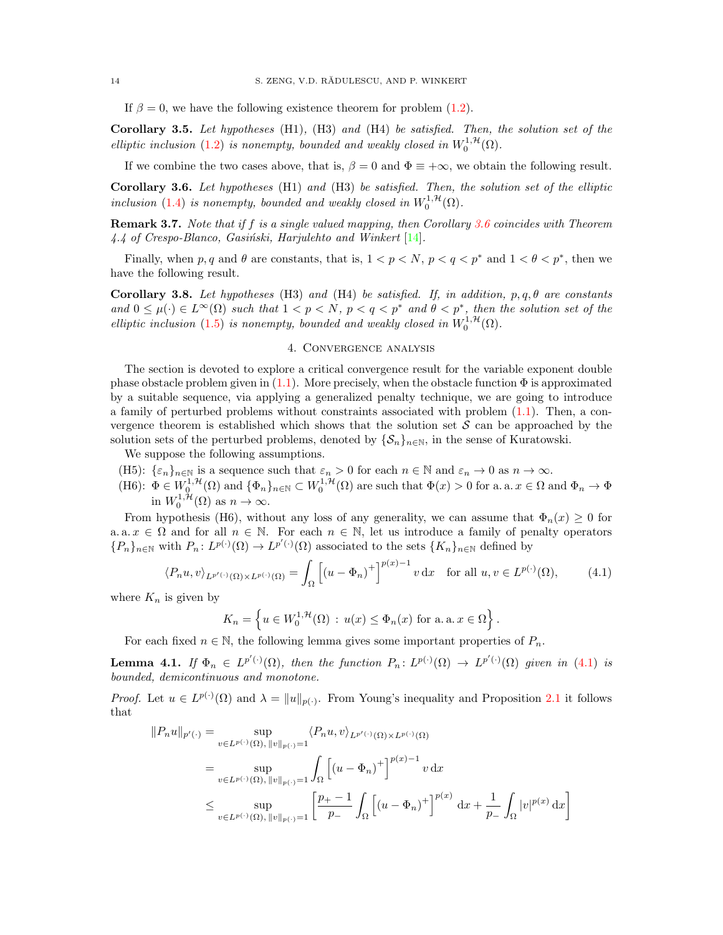If  $\beta = 0$ , we have the following existence theorem for problem [\(1.2\)](#page-1-4).

Corollary 3.5. Let hypotheses  $(H1)$ ,  $(H3)$  and  $(H4)$  be satisfied. Then, the solution set of the elliptic inclusion [\(1.2\)](#page-1-4) is nonempty, bounded and weakly closed in  $W_0^{1, H}(\Omega)$ .

If we combine the two cases above, that is,  $\beta = 0$  and  $\Phi \equiv +\infty$ , we obtain the following result.

<span id="page-13-1"></span>Corollary 3.6. Let hypotheses (H1) and (H3) be satisfied. Then, the solution set of the elliptic inclusion [\(1.4\)](#page-1-1) is nonempty, bounded and weakly closed in  $W_0^{1,\mathcal{H}}(\Omega)$ .

**Remark 3.7.** Note that if f is a single valued mapping, then Corollary [3.6](#page-13-1) coincides with Theorem  $4.4$  of Crespo-Blanco, Gasiński, Harjulehto and Winkert  $[14]$ .

Finally, when p, q and  $\theta$  are constants, that is,  $1 < p < N$ ,  $p < q < p^*$  and  $1 < \theta < p^*$ , then we have the following result.

Corollary 3.8. Let hypotheses (H3) and (H4) be satisfied. If, in addition,  $p, q, \theta$  are constants and  $0 \leq \mu(\cdot) \in L^{\infty}(\Omega)$  such that  $1 < p < N$ ,  $p < q < p^*$  and  $\theta < p^*$ , then the solution set of the elliptic inclusion [\(1.5\)](#page-1-2) is nonempty, bounded and weakly closed in  $W_0^{1, H}(\Omega)$ .

# 4. Convergence analysis

<span id="page-13-0"></span>The section is devoted to explore a critical convergence result for the variable exponent double phase obstacle problem given in  $(1.1)$ . More precisely, when the obstacle function  $\Phi$  is approximated by a suitable sequence, via applying a generalized penalty technique, we are going to introduce a family of perturbed problems without constraints associated with problem [\(1.1\)](#page-1-0). Then, a convergence theorem is established which shows that the solution set  $S$  can be approached by the solution sets of the perturbed problems, denoted by  $\{\mathcal{S}_n\}_{n\in\mathbb{N}}$ , in the sense of Kuratowski.

We suppose the following assumptions.

- (H5):  $\{\varepsilon_n\}_{n\in\mathbb{N}}$  is a sequence such that  $\varepsilon_n > 0$  for each  $n \in \mathbb{N}$  and  $\varepsilon_n \to 0$  as  $n \to \infty$ .
- (H6):  $\Phi \in W_0^{1,\mathcal{H}}(\Omega)$  and  $\{\Phi_n\}_{n\in\mathbb{N}} \subset W_0^{1,\mathcal{H}}(\Omega)$  are such that  $\Phi(x) > 0$  for a. a.  $x \in \Omega$  and  $\Phi_n \to \Phi$ in  $W_0^{1,\mathcal{H}}(\Omega)$  as  $n \to \infty$ .

From hypothesis (H6), without any loss of any generality, we can assume that  $\Phi_n(x) \geq 0$  for a. a.  $x \in \Omega$  and for all  $n \in \mathbb{N}$ . For each  $n \in \mathbb{N}$ , let us introduce a family of penalty operators  ${P_n}_{n\in\mathbb{N}}$  with  $P_n: L^{p(\cdot)}(\Omega) \to L^{p'(\cdot)}(\Omega)$  associated to the sets  ${K_n}_{n\in\mathbb{N}}$  defined by

$$
\langle P_n u, v \rangle_{L^{p'(\cdot)}(\Omega) \times L^{p(\cdot)}(\Omega)} = \int_{\Omega} \left[ (u - \Phi_n)^+ \right]^{p(x) - 1} v \, dx \quad \text{for all } u, v \in L^{p(\cdot)}(\Omega), \tag{4.1}
$$

where  $K_n$  is given by

<span id="page-13-2"></span>
$$
K_n = \left\{ u \in W_0^{1,\mathcal{H}}(\Omega) : u(x) \le \Phi_n(x) \text{ for a. a. } x \in \Omega \right\}.
$$

For each fixed  $n \in \mathbb{N}$ , the following lemma gives some important properties of  $P_n$ .

<span id="page-13-3"></span>**Lemma 4.1.** If  $\Phi_n \in L^{p'(\cdot)}(\Omega)$ , then the function  $P_n: L^{p(\cdot)}(\Omega) \to L^{p'(\cdot)}(\Omega)$  given in [\(4.1\)](#page-13-2) is bounded, demicontinuous and monotone.

*Proof.* Let  $u \in L^{p(\cdot)}(\Omega)$  and  $\lambda = ||u||_{p(\cdot)}$ . From Young's inequality and Proposition [2.1](#page-5-1) it follows that

$$
||P_n u||_{p'(\cdot)} = \sup_{v \in L^{p(\cdot)}(\Omega), ||v||_{p(\cdot)} = 1} \langle P_n u, v \rangle_{L^{p'(\cdot)}(\Omega) \times L^{p(\cdot)}(\Omega)}
$$
  
= 
$$
\sup_{v \in L^{p(\cdot)}(\Omega), ||v||_{p(\cdot)} = 1} \int_{\Omega} \left[ (u - \Phi_n)^+ \right]^{p(x) - 1} v \, dx
$$
  

$$
\leq \sup_{v \in L^{p(\cdot)}(\Omega), ||v||_{p(\cdot)} = 1} \left[ \frac{p_+ - 1}{p_-} \int_{\Omega} \left[ (u - \Phi_n)^+ \right]^{p(x)} \, dx + \frac{1}{p_-} \int_{\Omega} |v|^{p(x)} \, dx \right]
$$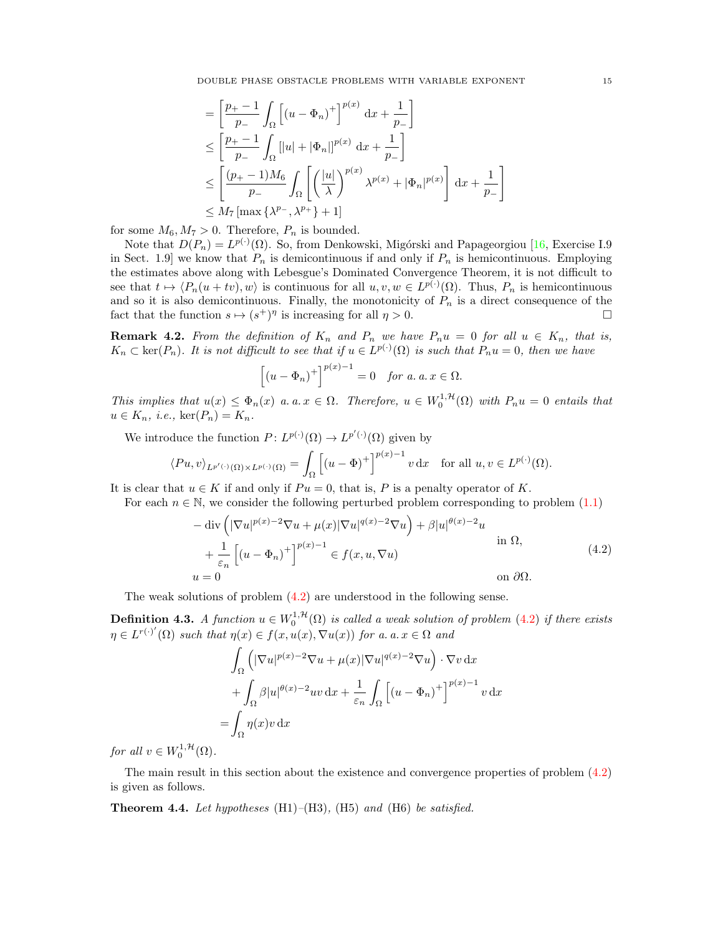DOUBLE PHASE OBSTACLE PROBLEMS WITH VARIABLE EXPONENT 15

$$
= \left[\frac{p_{+} - 1}{p_{-}} \int_{\Omega} \left[ (u - \Phi_{n})^{+} \right]^{p(x)} dx + \frac{1}{p_{-}} \right]
$$
  
\n
$$
\leq \left[\frac{p_{+} - 1}{p_{-}} \int_{\Omega} \left[ |u| + |\Phi_{n}| \right]^{p(x)} dx + \frac{1}{p_{-}} \right]
$$
  
\n
$$
\leq \left[ \frac{(p_{+} - 1)M_{6}}{p_{-}} \int_{\Omega} \left[ \left( \frac{|u|}{\lambda} \right)^{p(x)} \lambda^{p(x)} + |\Phi_{n}|^{p(x)} \right] dx + \frac{1}{p_{-}} \right]
$$
  
\n
$$
\leq M_{7} \left[ \max \left\{ \lambda^{p_{-}}, \lambda^{p_{+}} \right\} + 1 \right]
$$

for some  $M_6, M_7 > 0$ . Therefore,  $P_n$  is bounded.

Note that  $D(P_n) = L^{p(\cdot)}(\Omega)$ . So, from Denkowski, Migórski and Papageorgiou [\[16,](#page-20-15) Exercise I.9 in Sect. 1.9] we know that  $P_n$  is demicontinuous if and only if  $P_n$  is hemicontinuous. Employing the estimates above along with Lebesgue's Dominated Convergence Theorem, it is not difficult to see that  $t \mapsto \langle P_n(u + tv), w \rangle$  is continuous for all  $u, v, w \in L^{p(\cdot)}(\Omega)$ . Thus,  $P_n$  is hemicontinuous and so it is also demicontinuous. Finally, the monotonicity of  $P_n$  is a direct consequence of the fact that the function  $s \mapsto (s^+)^{\eta}$  is increasing for all  $\eta > 0$ .

**Remark 4.2.** From the definition of  $K_n$  and  $P_n$  we have  $P_nu = 0$  for all  $u \in K_n$ , that is,  $K_n \subset \text{ker}(P_n)$ . It is not difficult to see that if  $u \in L^{p(\cdot)}(\Omega)$  is such that  $P_n u = 0$ , then we have

$$
\left[ (u - \Phi_n)^+ \right]^{p(x)-1} = 0 \quad \text{for a. } a, x \in \Omega.
$$

This implies that  $u(x) \leq \Phi_n(x)$  a. a.  $x \in \Omega$ . Therefore,  $u \in W_0^{1,\mathcal{H}}(\Omega)$  with  $P_nu = 0$  entails that  $u \in K_n$ , *i.e.*,  $\ker(P_n) = K_n$ .

We introduce the function  $P: L^{p(\cdot)}(\Omega) \to L^{p'(\cdot)}(\Omega)$  given by

$$
\langle Pu, v \rangle_{L^{p'(\cdot)}(\Omega) \times L^{p(\cdot)}(\Omega)} = \int_{\Omega} \left[ (u - \Phi)^+ \right]^{p(x) - 1} v \, dx \quad \text{for all } u, v \in L^{p(\cdot)}(\Omega).
$$

It is clear that  $u \in K$  if and only if  $Pu = 0$ , that is, P is a penalty operator of K.

For each  $n \in \mathbb{N}$ , we consider the following perturbed problem corresponding to problem  $(1.1)$ 

<span id="page-14-0"></span>
$$
-\operatorname{div}\left(|\nabla u|^{p(x)-2}\nabla u + \mu(x)|\nabla u|^{q(x)-2}\nabla u\right) + \beta|u|^{\theta(x)-2}u
$$
  
+
$$
\frac{1}{\varepsilon_n}\left[(u-\Phi_n)^+\right]^{p(x)-1} \in f(x,u,\nabla u)
$$
  
in  $\Omega$ ,  
 $u=0$  on  $\partial\Omega$ . (4.2)

The weak solutions of problem [\(4.2\)](#page-14-0) are understood in the following sense.

**Definition 4.3.** A function  $u \in W_0^{1,\mathcal{H}}(\Omega)$  is called a weak solution of problem [\(4.2\)](#page-14-0) if there exists  $\eta \in L^{r(\cdot)'}(\Omega)$  such that  $\eta(x) \in f(x, u(x), \nabla u(x))$  for a. a.  $x \in \Omega$  and

$$
\int_{\Omega} \left( |\nabla u|^{p(x)-2} \nabla u + \mu(x) |\nabla u|^{q(x)-2} \nabla u \right) \cdot \nabla v \, dx
$$

$$
+ \int_{\Omega} \beta |u|^{\theta(x)-2} uv \, dx + \frac{1}{\varepsilon_n} \int_{\Omega} \left[ (u - \Phi_n)^+ \right]^{p(x)-1} v \, dx
$$

$$
= \int_{\Omega} \eta(x)v \, dx
$$

for all  $v \in W_0^{1, \mathcal{H}}(\Omega)$ .

The main result in this section about the existence and convergence properties of problem [\(4.2\)](#page-14-0) is given as follows.

<span id="page-14-1"></span>**Theorem 4.4.** Let hypotheses  $(H1)$ – $(H3)$ ,  $(H5)$  and  $(H6)$  be satisfied.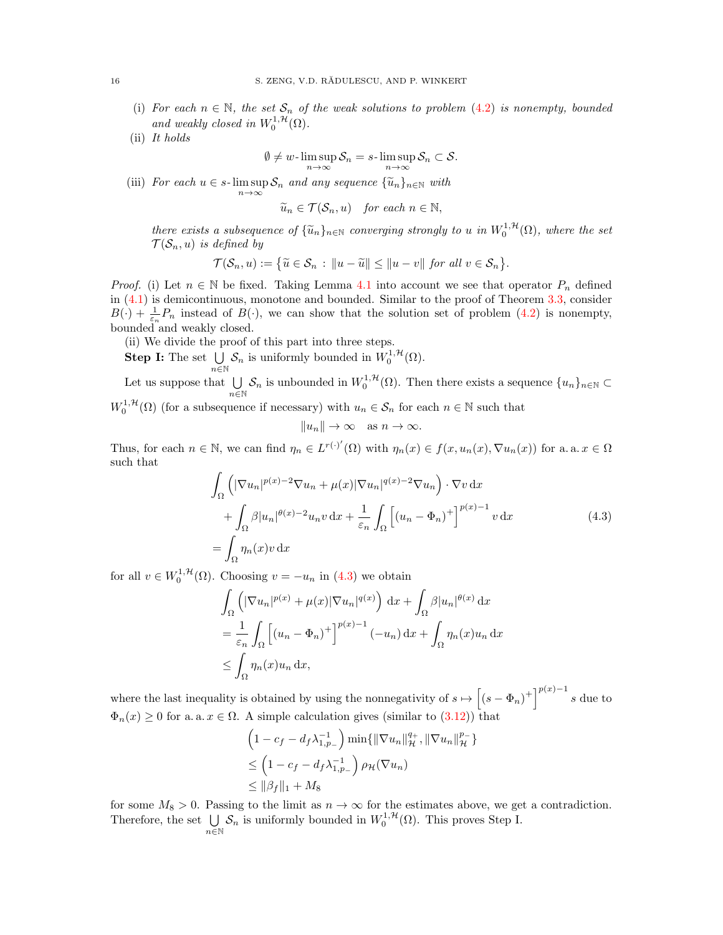(i) For each  $n \in \mathbb{N}$ , the set  $S_n$  of the weak solutions to problem [\(4.2\)](#page-14-0) is nonempty, bounded and weakly closed in  $W_0^{1, \mathcal{H}}(\Omega)$ .

(ii) It holds

$$
\emptyset \neq w\text{-}\limsup_{n\to\infty} \mathcal{S}_n = s\text{-}\limsup_{n\to\infty} \mathcal{S}_n \subset \mathcal{S}.
$$

(iii) For each  $u \in s$ - $\limsup_{n \to \infty} S_n$  and any sequence  $\{\widetilde{u}_n\}_{n \in \mathbb{N}}$  with n→∞

 $\widetilde{u}_n \in \mathcal{T}(\mathcal{S}_n, u)$  for each  $n \in \mathbb{N}$ ,

there exists a subsequence of  $\{\widetilde{u}_n\}_{n\in\mathbb{N}}$  converging strongly to u in  $W_0^{1,\mathcal{H}}(\Omega)$ , where the set  $\mathcal{T}(S, u)$  is defined by  $\mathcal{T}(\mathcal{S}_n, u)$  is defined by

$$
\mathcal{T}(\mathcal{S}_n, u) := \left\{ \widetilde{u} \in \mathcal{S}_n : ||u - \widetilde{u}|| \le ||u - v|| \text{ for all } v \in \mathcal{S}_n \right\}.
$$

*Proof.* (i) Let  $n \in \mathbb{N}$  be fixed. Taking Lemma [4.1](#page-13-3) into account we see that operator  $P_n$  defined in [\(4.1\)](#page-13-2) is demicontinuous, monotone and bounded. Similar to the proof of Theorem [3.3,](#page-8-0) consider  $B(\cdot) + \frac{1}{\varepsilon_n} P_n$  instead of  $B(\cdot)$ , we can show that the solution set of problem [\(4.2\)](#page-14-0) is nonempty, bounded and weakly closed.

(ii) We divide the proof of this part into three steps.

Step I: The set  $\bigcup$  $\bigcup_{n\in\mathbb{N}}\mathcal{S}_n$  is uniformly bounded in  $W_0^{1,\mathcal{H}}(\Omega)$ .

Let us suppose that  $\bigcup$  $\bigcup_{n\in\mathbb{N}}\mathcal{S}_n$  is unbounded in  $W_0^{1,\mathcal{H}}(\Omega)$ . Then there exists a sequence  $\{u_n\}_{n\in\mathbb{N}}\subset$ 

 $W_0^{1,\mathcal{H}}(\Omega)$  (for a subsequence if necessary) with  $u_n \in \mathcal{S}_n$  for each  $n \in \mathbb{N}$  such that

<span id="page-15-0"></span>
$$
||u_n|| \to \infty \quad \text{as } n \to \infty.
$$

Thus, for each  $n \in \mathbb{N}$ , we can find  $\eta_n \in L^{r(\cdot)'}(\Omega)$  with  $\eta_n(x) \in f(x, u_n(x), \nabla u_n(x))$  for a. a.  $x \in \Omega$ such that

$$
\int_{\Omega} \left( |\nabla u_n|^{p(x)-2} \nabla u_n + \mu(x) |\nabla u_n|^{q(x)-2} \nabla u_n \right) \cdot \nabla v \, dx \n+ \int_{\Omega} \beta |u_n|^{\theta(x)-2} u_n v \, dx + \frac{1}{\varepsilon_n} \int_{\Omega} \left[ (u_n - \Phi_n)^+ \right]^{p(x)-1} v \, dx \n= \int_{\Omega} \eta_n(x) v \, dx
$$
\n(4.3)

for all  $v \in W_0^{1, H}(\Omega)$ . Choosing  $v = -u_n$  in [\(4.3\)](#page-15-0) we obtain

$$
\int_{\Omega} \left( |\nabla u_n|^{p(x)} + \mu(x) |\nabla u_n|^{q(x)} \right) dx + \int_{\Omega} \beta |u_n|^{\theta(x)} dx
$$
  
=  $\frac{1}{\varepsilon_n} \int_{\Omega} \left[ (u_n - \Phi_n)^+ \right]^{p(x)-1} (-u_n) dx + \int_{\Omega} \eta_n(x) u_n dx$   
 $\leq \int_{\Omega} \eta_n(x) u_n dx,$ 

where the last inequality is obtained by using the nonnegativity of  $s \mapsto \left[ (s - \Phi_n)^+ \right]^{p(x)-1} s$  due to  $\Phi_n(x) \geq 0$  for a. a.  $x \in \Omega$ . A simple calculation gives (similar to [\(3.12\)](#page-11-3)) that

$$
\left(1 - c_f - d_f \lambda_{1, p_-}^{-1}\right) \min\{\|\nabla u_n\|_{\mathcal{H}}^{q_+}, \|\nabla u_n\|_{\mathcal{H}}^{p_-}\}\n\n\le \left(1 - c_f - d_f \lambda_{1, p_-}^{-1}\right) \rho_{\mathcal{H}}(\nabla u_n)\n\n\le \|\beta_f\|_1 + M_8
$$

for some  $M_8 > 0$ . Passing to the limit as  $n \to \infty$  for the estimates above, we get a contradiction. Therefore, the set  $\bigcup$  $\bigcup_{n\in\mathbb{N}}\mathcal{S}_n$  is uniformly bounded in  $W_0^{1,\mathcal{H}}(\Omega)$ . This proves Step I.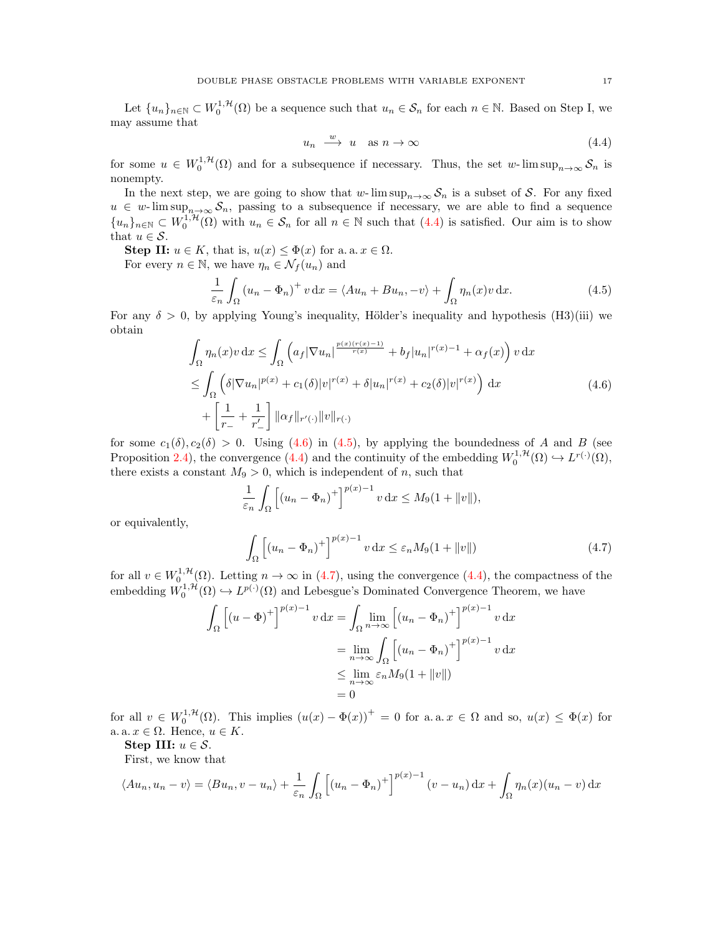Let  $\{u_n\}_{n\in\mathbb{N}}\subset W_0^{1,\mathcal{H}}(\Omega)$  be a sequence such that  $u_n\in\mathcal{S}_n$  for each  $n\in\mathbb{N}$ . Based on Step I, we may assume that

<span id="page-16-2"></span><span id="page-16-0"></span>
$$
u_n \xrightarrow{w} u \quad \text{as } n \to \infty \tag{4.4}
$$

for some  $u \in W_0^{1,\mathcal{H}}(\Omega)$  and for a subsequence if necessary. Thus, the set w- $\limsup_{n\to\infty} S_n$  is nonempty.

In the next step, we are going to show that w-  $\limsup_{n\to\infty} S_n$  is a subset of S. For any fixed  $u \in w$ - lim sup<sub>n→∞</sub>  $\mathcal{S}_n$ , passing to a subsequence if necessary, we are able to find a sequence  ${u_n}_{n\in\mathbb{N}}\subset W_0^{1,\mathcal{H}}(\Omega)$  with  $u_n\in\mathcal{S}_n$  for all  $n\in\mathbb{N}$  such that  $(4.4)$  is satisfied. Our aim is to show that  $u \in \mathcal{S}$ .

Step II:  $u \in K$ , that is,  $u(x) \leq \Phi(x)$  for a. a.  $x \in \Omega$ .

For every  $n \in \mathbb{N}$ , we have  $\eta_n \in \mathcal{N}_f(u_n)$  and

$$
\frac{1}{\varepsilon_n} \int_{\Omega} \left( u_n - \Phi_n \right)^+ v \, \mathrm{d}x = \langle Au_n + Bu_n, -v \rangle + \int_{\Omega} \eta_n(x) v \, \mathrm{d}x. \tag{4.5}
$$

For any  $\delta > 0$ , by applying Young's inequality, Hölder's inequality and hypothesis (H3)(iii) we obtain

$$
\int_{\Omega} \eta_n(x)v \, dx \le \int_{\Omega} \left( a_f |\nabla u_n| \frac{p(x)(r(x)-1)}{r(x)} + b_f |u_n|^{r(x)-1} + \alpha_f(x) \right) v \, dx
$$
\n
$$
\le \int_{\Omega} \left( \delta |\nabla u_n|^{p(x)} + c_1(\delta) |v|^{r(x)} + \delta |u_n|^{r(x)} + c_2(\delta) |v|^{r(x)} \right) dx
$$
\n
$$
+ \left[ \frac{1}{r_-} + \frac{1}{r'_-} \right] ||\alpha_f||_{r'(\cdot)} ||v||_{r(\cdot)}
$$
\n(4.6)

for some  $c_1(\delta), c_2(\delta) > 0$ . Using [\(4.6\)](#page-16-1) in [\(4.5\)](#page-16-2), by applying the boundedness of A and B (see Proposition [2.4\)](#page-7-2), the convergence [\(4.4\)](#page-16-0) and the continuity of the embedding  $W_0^{1,\mathcal{H}}(\Omega) \hookrightarrow L^{r(\cdot)}(\Omega)$ , there exists a constant  $M_9 > 0$ , which is independent of n, such that

<span id="page-16-1"></span>
$$
\frac{1}{\varepsilon_n} \int_{\Omega} \left[ (u_n - \Phi_n)^+ \right]^{p(x)-1} v \, dx \le M_9(1 + \|v\|),
$$

or equivalently,

<span id="page-16-3"></span>
$$
\int_{\Omega} \left[ \left( u_n - \Phi_n \right)^{+} \right]^{p(x)-1} v \, dx \le \varepsilon_n M_9(1 + \|v\|) \tag{4.7}
$$

for all  $v \in W_0^{1,\mathcal{H}}(\Omega)$ . Letting  $n \to \infty$  in [\(4.7\)](#page-16-3), using the convergence [\(4.4\)](#page-16-0), the compactness of the embedding  $W_0^{1,\mathcal{H}}(\Omega) \hookrightarrow L^{p(\cdot)}(\Omega)$  and Lebesgue's Dominated Convergence Theorem, we have

$$
\int_{\Omega} \left[ (u - \Phi)^+ \right]^{p(x)-1} v \, dx = \int_{\Omega} \lim_{n \to \infty} \left[ (u_n - \Phi_n)^+ \right]^{p(x)-1} v \, dx
$$

$$
= \lim_{n \to \infty} \int_{\Omega} \left[ (u_n - \Phi_n)^+ \right]^{p(x)-1} v \, dx
$$

$$
\leq \lim_{n \to \infty} \varepsilon_n M_9(1 + ||v||)
$$

$$
= 0
$$

for all  $v \in W_0^{1,\mathcal{H}}(\Omega)$ . This implies  $(u(x) - \Phi(x))^{+} = 0$  for a.a.  $x \in \Omega$  and so,  $u(x) \leq \Phi(x)$  for a. a.  $x \in \Omega$ . Hence,  $u \in K$ .

Step III:  $u \in \mathcal{S}$ .

First, we know that

$$
\langle Au_n, u_n - v \rangle = \langle Bu_n, v - u_n \rangle + \frac{1}{\varepsilon_n} \int_{\Omega} \left[ (u_n - \Phi_n)^+ \right]^{p(x)-1} (v - u_n) \, dx + \int_{\Omega} \eta_n(x) (u_n - v) \, dx
$$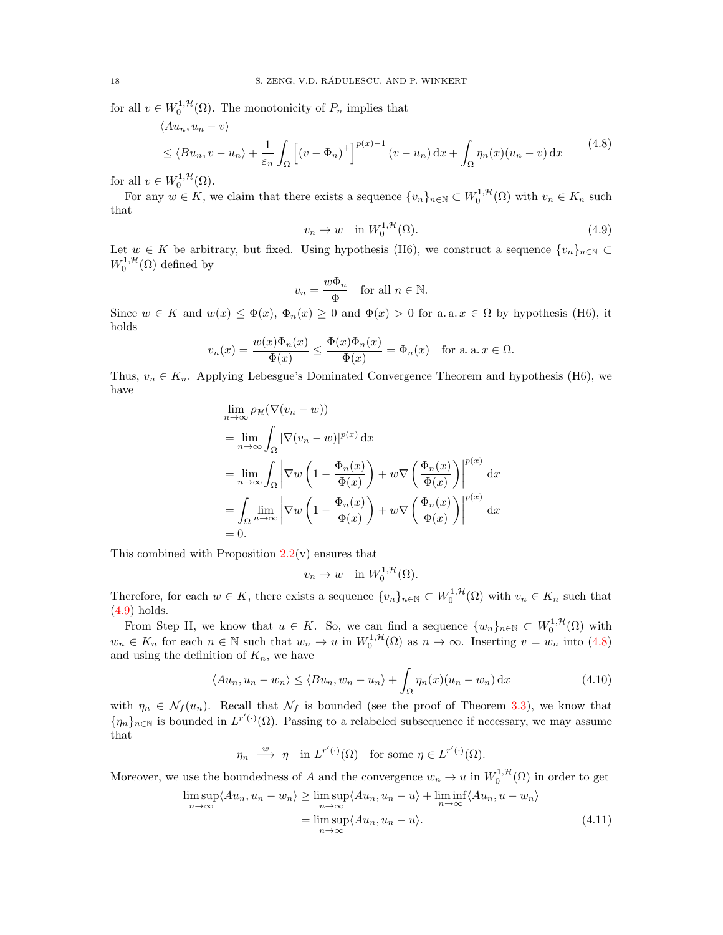for all  $v \in W_0^{1,\mathcal{H}}(\Omega)$ . The monotonicity of  $P_n$  implies that  $\langle Au_n, u_n - v \rangle$ 

$$
\leq \langle Bu_n, v - u_n \rangle + \frac{1}{\varepsilon_n} \int_{\Omega} \left[ (v - \Phi_n)^+ \right]^{p(x) - 1} (v - u_n) \, dx + \int_{\Omega} \eta_n(x) (u_n - v) \, dx \tag{4.8}
$$

for all  $v \in W_0^{1, \mathcal{H}}(\Omega)$ .

For any  $w \in K$ , we claim that there exists a sequence  $\{v_n\}_{n\in\mathbb{N}} \subset W_0^{1,\mathcal{H}}(\Omega)$  with  $v_n \in K_n$  such that

<span id="page-17-1"></span><span id="page-17-0"></span>
$$
v_n \to w \quad \text{in } W_0^{1, \mathcal{H}}(\Omega). \tag{4.9}
$$

Let  $w \in K$  be arbitrary, but fixed. Using hypothesis (H6), we construct a sequence  $\{v_n\}_{n\in\mathbb{N}}\subset$  $W_0^{1,\mathcal{H}}(\Omega)$  defined by

$$
v_n = \frac{w\Phi_n}{\Phi} \quad \text{for all } n \in \mathbb{N}.
$$

Since  $w \in K$  and  $w(x) \leq \Phi(x)$ ,  $\Phi_n(x) \geq 0$  and  $\Phi(x) > 0$  for a. a.  $x \in \Omega$  by hypothesis (H6), it holds

$$
v_n(x) = \frac{w(x)\Phi_n(x)}{\Phi(x)} \le \frac{\Phi(x)\Phi_n(x)}{\Phi(x)} = \Phi_n(x) \quad \text{for a. a. } x \in \Omega.
$$

Thus,  $v_n \in K_n$ . Applying Lebesgue's Dominated Convergence Theorem and hypothesis (H6), we have

$$
\lim_{n \to \infty} \rho_{\mathcal{H}}(\nabla (v_n - w))
$$
\n
$$
= \lim_{n \to \infty} \int_{\Omega} |\nabla (v_n - w)|^{p(x)} dx
$$
\n
$$
= \lim_{n \to \infty} \int_{\Omega} |\nabla w (1 - \frac{\Phi_n(x)}{\Phi(x)}) + w \nabla (\frac{\Phi_n(x)}{\Phi(x)})|^{p(x)} dx
$$
\n
$$
= \int_{\Omega} \lim_{n \to \infty} |\nabla w (1 - \frac{\Phi_n(x)}{\Phi(x)}) + w \nabla (\frac{\Phi_n(x)}{\Phi(x)})|^{p(x)} dx
$$
\n
$$
= 0.
$$

This combined with Proposition  $2.2(v)$  $2.2(v)$  ensures that

<span id="page-17-2"></span>
$$
v_n \to w \quad \text{in } W_0^{1, \mathcal{H}}(\Omega).
$$

Therefore, for each  $w \in K$ , there exists a sequence  $\{v_n\}_{n\in\mathbb{N}} \subset W_0^{1,\mathcal{H}}(\Omega)$  with  $v_n \in K_n$  such that [\(4.9\)](#page-17-0) holds.

From Step II, we know that  $u \in K$ . So, we can find a sequence  $\{w_n\}_{n\in\mathbb{N}} \subset W_0^{1,\mathcal{H}}(\Omega)$  with  $w_n \in K_n$  for each  $n \in \mathbb{N}$  such that  $w_n \to u$  in  $W_0^{1,\mathcal{H}}(\Omega)$  as  $n \to \infty$ . Inserting  $v = w_n$  into [\(4.8\)](#page-17-1) and using the definition of  $K_n$ , we have

$$
\langle Au_n, u_n - w_n \rangle \le \langle Bu_n, w_n - u_n \rangle + \int_{\Omega} \eta_n(x) (u_n - w_n) \, \mathrm{d}x \tag{4.10}
$$

with  $\eta_n \in \mathcal{N}_f(u_n)$ . Recall that  $\mathcal{N}_f$  is bounded (see the proof of Theorem [3.3\)](#page-8-0), we know that  $\{\eta_n\}_{n\in\mathbb{N}}$  is bounded in  $L^{r'(\cdot)}(\Omega)$ . Passing to a relabeled subsequence if necessary, we may assume that

<span id="page-17-3"></span>
$$
\eta_n \stackrel{w}{\longrightarrow} \eta
$$
 in  $L^{r'(\cdot)}(\Omega)$  for some  $\eta \in L^{r'(\cdot)}(\Omega)$ .

Moreover, we use the boundedness of A and the convergence  $w_n \to u$  in  $W_0^{1,\mathcal{H}}(\Omega)$  in order to get

$$
\limsup_{n \to \infty} \langle Au_n, u_n - w_n \rangle \ge \limsup_{n \to \infty} \langle Au_n, u_n - u \rangle + \liminf_{n \to \infty} \langle Au_n, u - w_n \rangle
$$

$$
= \limsup_{n \to \infty} \langle Au_n, u_n - u \rangle.
$$
(4.11)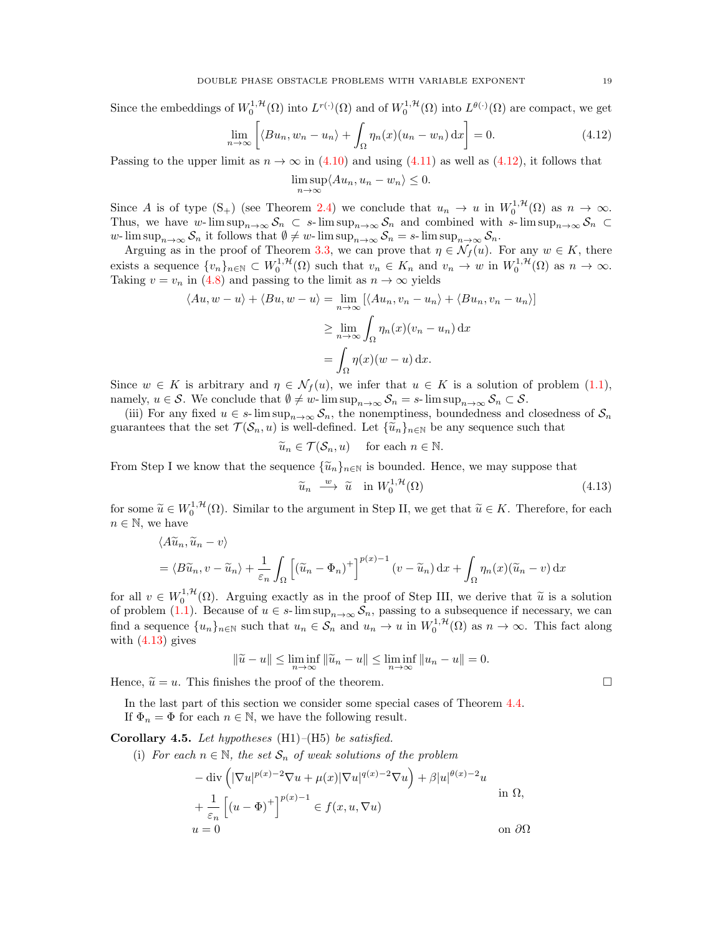Since the embeddings of  $W_0^{1,\mathcal{H}}(\Omega)$  into  $L^{r(\cdot)}(\Omega)$  and of  $W_0^{1,\mathcal{H}}(\Omega)$  into  $L^{\theta(\cdot)}(\Omega)$  are compact, we get

$$
\lim_{n \to \infty} \left[ \langle Bu_n, w_n - u_n \rangle + \int_{\Omega} \eta_n(x) (u_n - w_n) \, \mathrm{d}x \right] = 0. \tag{4.12}
$$

Passing to the upper limit as  $n \to \infty$  in [\(4.10\)](#page-17-2) and using [\(4.11\)](#page-17-3) as well as [\(4.12\)](#page-18-0), it follows that

<span id="page-18-0"></span>
$$
\limsup_{n \to \infty} \langle Au_n, u_n - w_n \rangle \le 0.
$$

Since A is of type  $(S_+)$  (see Theorem [2.4\)](#page-7-2) we conclude that  $u_n \to u$  in  $W_0^{1,\mathcal{H}}(\Omega)$  as  $n \to \infty$ . Thus, we have w- lim sup<sub>n→∞</sub>  $S_n \subset s$ - lim sup<sub>n→∞</sub>  $S_n$  and combined with s- lim sup<sub>n→∞</sub>  $S_n \subset$ w- lim sup<sub>n→∞</sub>  $S_n$  it follows that  $\emptyset \neq w$ - lim sup<sub>n→∞</sub>  $S_n = s$ - lim sup<sub>n→∞</sub>  $S_n$ .

Arguing as in the proof of Theorem [3.3,](#page-8-0) we can prove that  $\eta \in \mathcal{N}_f(u)$ . For any  $w \in K$ , there exists a sequence  $\{v_n\}_{n\in\mathbb{N}}\subset W_0^{1,\mathcal{H}}(\Omega)$  such that  $v_n\in K_n$  and  $v_n\to w$  in  $W_0^{1,\mathcal{H}}(\Omega)$  as  $n\to\infty$ . Taking  $v = v_n$  in [\(4.8\)](#page-17-1) and passing to the limit as  $n \to \infty$  yields

$$
\langle Au, w - u \rangle + \langle Bu, w - u \rangle = \lim_{n \to \infty} \left[ \langle Au_n, v_n - u_n \rangle + \langle Bu_n, v_n - u_n \rangle \right]
$$

$$
\geq \lim_{n \to \infty} \int_{\Omega} \eta_n(x) (v_n - u_n) dx
$$

$$
= \int_{\Omega} \eta(x) (w - u) dx.
$$

Since  $w \in K$  is arbitrary and  $\eta \in \mathcal{N}_f(u)$ , we infer that  $u \in K$  is a solution of problem [\(1.1\)](#page-1-0), namely,  $u \in \mathcal{S}$ . We conclude that  $\emptyset \neq w$ - lim sup $n \to \infty$ ,  $\mathcal{S}_n = s$ - lim sup $n \to \infty$ ,  $\mathcal{S}_n \subset \mathcal{S}$ .

(iii) For any fixed  $u \in s$ - lim  $\sup_{n\to\infty} S_n$ , the nonemptiness, boundedness and closedness of  $S_n$ guarantees that the set  $\mathcal{T}(\mathcal{S}_n, u)$  is well-defined. Let  $\{\tilde{u}_n\}_{n \in \mathbb{N}}$  be any sequence such that

$$
\widetilde{u}_n \in \mathcal{T}(\mathcal{S}_n, u)
$$
 for each  $n \in \mathbb{N}$ .

From Step I we know that the sequence  $\{\tilde{u}_n\}_{n\in\mathbb{N}}$  is bounded. Hence, we may suppose that

$$
\widetilde{u}_n \xrightarrow{w} \widetilde{u} \quad \text{in } W_0^{1,\mathcal{H}}(\Omega) \tag{4.13}
$$

for some  $\widetilde{u} \in W_0^{1,\mathcal{H}}(\Omega)$ . Similar to the argument in Step II, we get that  $\widetilde{u} \in K$ . Therefore, for each  $n \in \mathbb{N}$ , we have  $n \in \mathbb{N}$ , we have

$$
\langle A\widetilde{u}_n, \widetilde{u}_n - v \rangle
$$
  
=  $\langle B\widetilde{u}_n, v - \widetilde{u}_n \rangle + \frac{1}{\varepsilon_n} \int_{\Omega} \left[ (\widetilde{u}_n - \Phi_n)^+ \right]^{p(x)-1} (v - \widetilde{u}_n) dx + \int_{\Omega} \eta_n(x) (\widetilde{u}_n - v) dx$ 

for all  $v \in W_0^{1,\mathcal{H}}(\Omega)$ . Arguing exactly as in the proof of Step III, we derive that  $\tilde{u}$  is a solution of problem  $(1,1)$ . Because of  $u \in e$  lim superior is a solution of problem  $(u, 1)$ . of problem [\(1.1\)](#page-1-0). Because of  $u \in s$ - lim  $\sup_{n\to\infty} S_n$ , passing to a subsequence if necessary, we can find a sequence  $\{u_n\}_{n\in\mathbb{N}}$  such that  $u_n \in \mathcal{S}_n$  and  $u_n \to u$  in  $W_0^{1,\mathcal{H}}(\Omega)$  as  $n \to \infty$ . This fact along with  $(4.13)$  gives

$$
\|\widetilde{u} - u\| \le \liminf_{n \to \infty} \|\widetilde{u}_n - u\| \le \liminf_{n \to \infty} \|u_n - u\| = 0.
$$

Hence,  $\tilde{u} = u$ . This finishes the proof of the theorem.

In the last part of this section we consider some special cases of Theorem [4.4.](#page-14-1) If  $\Phi_n = \Phi$  for each  $n \in \mathbb{N}$ , we have the following result.

Corollary 4.5. Let hypotheses  $(H1)$ – $(H5)$  be satisfied.

(i) For each  $n \in \mathbb{N}$ , the set  $\mathcal{S}_n$  of weak solutions of the problem

$$
-\operatorname{div}\left(|\nabla u|^{p(x)-2}\nabla u + \mu(x)|\nabla u|^{q(x)-2}\nabla u\right) + \beta|u|^{\theta(x)-2}u
$$
  
+
$$
\frac{1}{\varepsilon_n}\left[(u-\Phi)^+\right]^{p(x)-1} \in f(x,u,\nabla u)
$$
  
on  $\partial\Omega$ 

<span id="page-18-1"></span>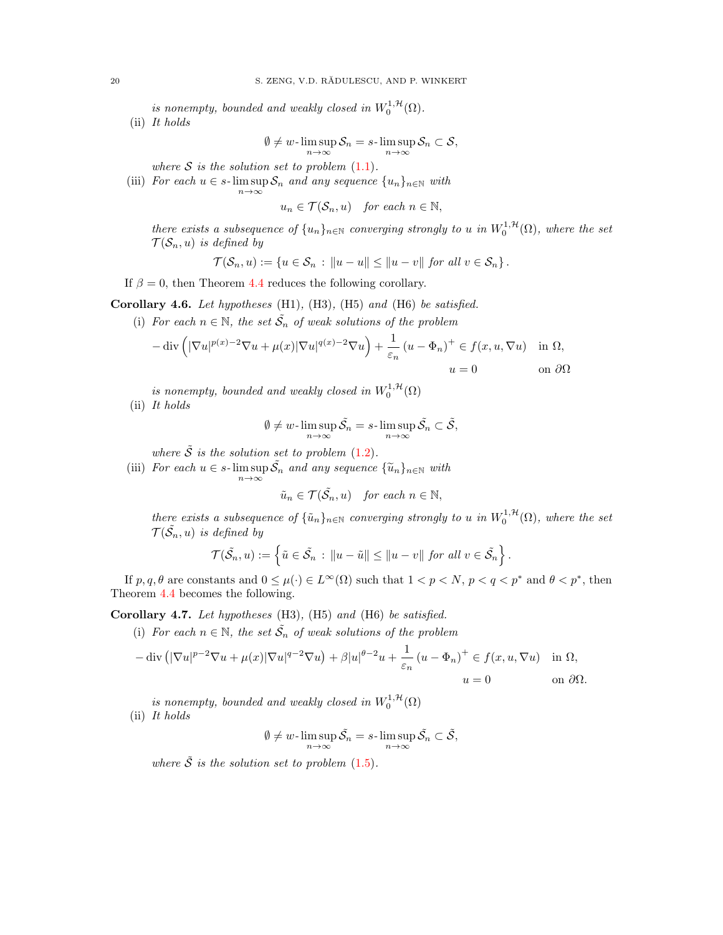is nonempty, bounded and weakly closed in  $W_0^{1,\mathcal{H}}(\Omega)$ .

(ii) It holds

$$
\emptyset\neq w\hbox{-}\limsup_{n\to\infty}\mathcal{S}_n=s\hbox{-}\limsup_{n\to\infty}\mathcal{S}_n\subset\mathcal{S},
$$

where  $S$  is the solution set to problem  $(1.1)$ .

(iii) For each  $u \in s$ -lim sup  $S_n$  and any sequence  $\{u_n\}_{n \in \mathbb{N}}$  with  $n \rightarrow \infty$ 

 $u_n \in \mathcal{T}(\mathcal{S}_n, u)$  for each  $n \in \mathbb{N}$ ,

there exists a subsequence of  $\{u_n\}_{n\in\mathbb{N}}$  converging strongly to u in  $W_0^{1,\mathcal{H}}(\Omega)$ , where the set  $\mathcal{T}(\mathcal{S}_n, u)$  is defined by

$$
\mathcal{T}(\mathcal{S}_n, u) := \{ u \in \mathcal{S}_n : ||u - u|| \le ||u - v|| \text{ for all } v \in \mathcal{S}_n \}.
$$

If  $\beta = 0$ , then Theorem [4.4](#page-14-1) reduces the following corollary.

Corollary 4.6. Let hypotheses (H1), (H3), (H5) and (H6) be satisfied.

(i) For each  $n \in \mathbb{N}$ , the set  $\tilde{S}_n$  of weak solutions of the problem

$$
-\operatorname{div}\left(|\nabla u|^{p(x)-2}\nabla u + \mu(x)|\nabla u|^{q(x)-2}\nabla u\right) + \frac{1}{\varepsilon_n}(u - \Phi_n)^+ \in f(x, u, \nabla u) \quad \text{in } \Omega,
$$
  

$$
u = 0 \quad \text{on } \partial\Omega
$$

- is nonempty, bounded and weakly closed in  $W_0^{1,\mathcal{H}}(\Omega)$
- (ii) It holds

$$
\emptyset \neq w\text{-}\limsup_{n\to\infty} \tilde{\mathcal{S}}_n = s\text{-}\limsup_{n\to\infty} \tilde{\mathcal{S}}_n \subset \tilde{\mathcal{S}},
$$

where  $\tilde{S}$  is the solution set to problem  $(1.2)$ .

(iii) For each  $u \in s$ - $\limsup_{n \to \infty} \tilde{S_n}$  and any sequence  $\{\tilde{u}_n\}_{n \in \mathbb{N}}$  with n→∞

 $\tilde{u}_n \in \mathcal{T}(\tilde{\mathcal{S}_n}, u)$  for each  $n \in \mathbb{N}$ ,

there exists a subsequence of  $\{\tilde{u}_n\}_{n\in\mathbb{N}}$  converging strongly to u in  $W_0^{1,\mathcal{H}}(\Omega)$ , where the set  $\mathcal{T}(\tilde{\mathcal{S}_n},u)$  is defined by

$$
\mathcal{T}(\tilde{\mathcal{S}}_n, u) := \left\{ \tilde{u} \in \tilde{\mathcal{S}}_n : ||u - \tilde{u}|| \le ||u - v|| \text{ for all } v \in \tilde{\mathcal{S}}_n \right\}.
$$

If  $p, q, \theta$  are constants and  $0 \leq \mu(\cdot) \in L^{\infty}(\Omega)$  such that  $1 < p < N$ ,  $p < q < p^*$  and  $\theta < p^*$ , then Theorem [4.4](#page-14-1) becomes the following.

<span id="page-19-0"></span>Corollary 4.7. Let hypotheses (H3), (H5) and (H6) be satisfied.

(i) For each  $n \in \mathbb{N}$ , the set  $\tilde{S}_n$  of weak solutions of the problem

$$
-\operatorname{div}\left(|\nabla u|^{p-2}\nabla u + \mu(x)|\nabla u|^{q-2}\nabla u\right) + \beta|u|^{\theta-2}u + \frac{1}{\varepsilon_n}(u - \Phi_n)^+ \in f(x, u, \nabla u) \quad \text{in } \Omega,
$$
  

$$
u = 0 \qquad \text{on } \partial\Omega.
$$

is nonempty, bounded and weakly closed in  $W_0^{1,\mathcal{H}}(\Omega)$ 

(ii) It holds

$$
\emptyset \neq w\text{-}\limsup_{n\to\infty} \tilde{\mathcal{S}}_n = s\text{-}\limsup_{n\to\infty} \tilde{\mathcal{S}}_n \subset \tilde{\mathcal{S}},
$$

where  $\tilde{S}$  is the solution set to problem [\(1.5\)](#page-1-2).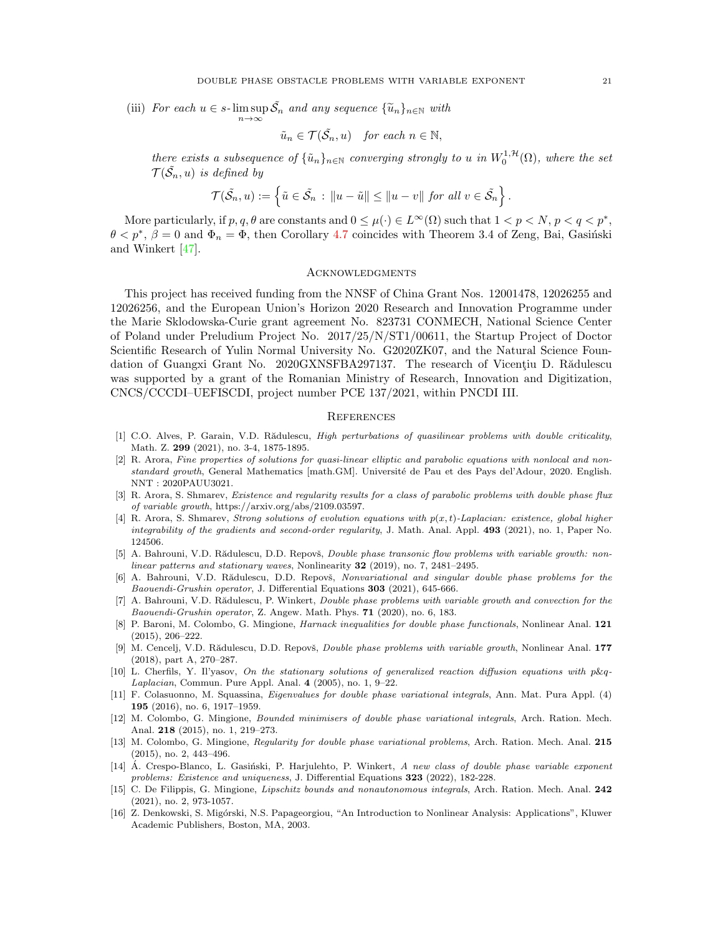(iii) For each  $u \in s$ - $\limsup_{n \to \infty} \tilde{\mathcal{S}_n}$  and any sequence  $\{\tilde{u}_n\}_{n \in \mathbb{N}}$  with

$$
\tilde{u}_n \in \mathcal{T}(\tilde{\mathcal{S}}_n, u) \quad \text{for each } n \in \mathbb{N},
$$

there exists a subsequence of  $\{\tilde{u}_n\}_{n\in\mathbb{N}}$  converging strongly to u in  $W_0^{1,\mathcal{H}}(\Omega)$ , where the set  $\mathcal{T}(\tilde{\mathcal{S}_n},u)$  is defined by

$$
\mathcal{T}(\tilde{\mathcal{S}}_n, u) := \left\{ \tilde{u} \in \tilde{\mathcal{S}}_n : ||u - \tilde{u}|| \le ||u - v|| \text{ for all } v \in \tilde{\mathcal{S}}_n \right\}.
$$

More particularly, if  $p, q, \theta$  are constants and  $0 \leq \mu(\cdot) \in L^{\infty}(\Omega)$  such that  $1 < p < N, p < q < p^*$ ,  $\theta < p^*, \beta = 0$  and  $\Phi_n = \Phi$ , then Corollary [4.7](#page-19-0) coincides with Theorem 3.4 of Zeng, Bai, Gasiński and Winkert [\[47\]](#page-21-4).

## **ACKNOWLEDGMENTS**

This project has received funding from the NNSF of China Grant Nos. 12001478, 12026255 and 12026256, and the European Union's Horizon 2020 Research and Innovation Programme under the Marie Sklodowska-Curie grant agreement No. 823731 CONMECH, National Science Center of Poland under Preludium Project No. 2017/25/N/ST1/00611, the Startup Project of Doctor Scientific Research of Yulin Normal University No. G2020ZK07, and the Natural Science Foundation of Guangxi Grant No. 2020GXNSFBA297137. The research of Vicențiu D. Rădulescu was supported by a grant of the Romanian Ministry of Research, Innovation and Digitization, CNCS/CCCDI–UEFISCDI, project number PCE 137/2021, within PNCDI III.

#### **REFERENCES**

- <span id="page-20-9"></span>[1] C.O. Alves, P. Garain, V.D. Rădulescu, High perturbations of quasilinear problems with double criticality, Math. Z. 299 (2021), no. 3-4, 1875-1895.
- <span id="page-20-6"></span>[2] R. Arora, Fine properties of solutions for quasi-linear elliptic and parabolic equations with nonlocal and nonstandard growth, General Mathematics [math.GM]. Université de Pau et des Pays del'Adour, 2020. English. NNT : 2020PAUU3021.
- <span id="page-20-7"></span>[3] R. Arora, S. Shmarev, Existence and regularity results for a class of parabolic problems with double phase flux of variable growth, https://arxiv.org/abs/2109.03597.
- <span id="page-20-5"></span>[4] R. Arora, S. Shmarev, Strong solutions of evolution equations with  $p(x, t)$ -Laplacian: existence, global higher integrability of the gradients and second-order regularity, J. Math. Anal. Appl. 493 (2021), no. 1, Paper No. 124506.
- <span id="page-20-1"></span>[5] A. Bahrouni, V.D. Rădulescu, D.D. Repovš, *Double phase transonic flow problems with variable growth: non*linear patterns and stationary waves, Nonlinearity 32 (2019), no. 7, 2481-2495.
- <span id="page-20-4"></span>[6] A. Bahrouni, V.D. Rădulescu, D.D. Repovš, Nonvariational and singular double phase problems for the Baouendi-Grushin operator, J. Differential Equations 303 (2021), 645-666.
- <span id="page-20-3"></span>[7] A. Bahrouni, V.D. Rădulescu, P. Winkert, *Double phase problems with variable growth and convection for the* Baouendi-Grushin operator, Z. Angew. Math. Phys. 71 (2020), no. 6, 183.
- <span id="page-20-10"></span>[8] P. Baroni, M. Colombo, G. Mingione, Harnack inequalities for double phase functionals, Nonlinear Anal. 121 (2015), 206–222.
- <span id="page-20-8"></span>[9] M. Cencelj, V.D. Rădulescu, D.D. Repovš, Double phase problems with variable growth, Nonlinear Anal. 177 (2018), part A, 270–287.
- <span id="page-20-2"></span>[10] L. Cherfils, Y. Il'yasov, On the stationary solutions of generalized reaction diffusion equations with p&q-Laplacian, Commun. Pure Appl. Anal. 4 (2005), no. 1, 9–22.
- <span id="page-20-11"></span>[11] F. Colasuonno, M. Squassina, Eigenvalues for double phase variational integrals, Ann. Mat. Pura Appl. (4) 195 (2016), no. 6, 1917–1959.
- <span id="page-20-12"></span>[12] M. Colombo, G. Mingione, Bounded minimisers of double phase variational integrals, Arch. Ration. Mech. Anal. 218 (2015), no. 1, 219–273.
- <span id="page-20-13"></span>[13] M. Colombo, G. Mingione, Regularity for double phase variational problems, Arch. Ration. Mech. Anal. 215 (2015), no. 2, 443–496.
- <span id="page-20-0"></span>[14] A. Crespo-Blanco, L. Gasiński, P. Harjulehto, P. Winkert, A new class of double phase variable exponent problems: Existence and uniqueness, J. Differential Equations 323 (2022), 182-228.
- <span id="page-20-14"></span>[15] C. De Filippis, G. Mingione, Lipschitz bounds and nonautonomous integrals, Arch. Ration. Mech. Anal. 242 (2021), no. 2, 973-1057.
- <span id="page-20-15"></span>[16] Z. Denkowski, S. Migórski, N.S. Papageorgiou, "An Introduction to Nonlinear Analysis: Applications", Kluwer Academic Publishers, Boston, MA, 2003.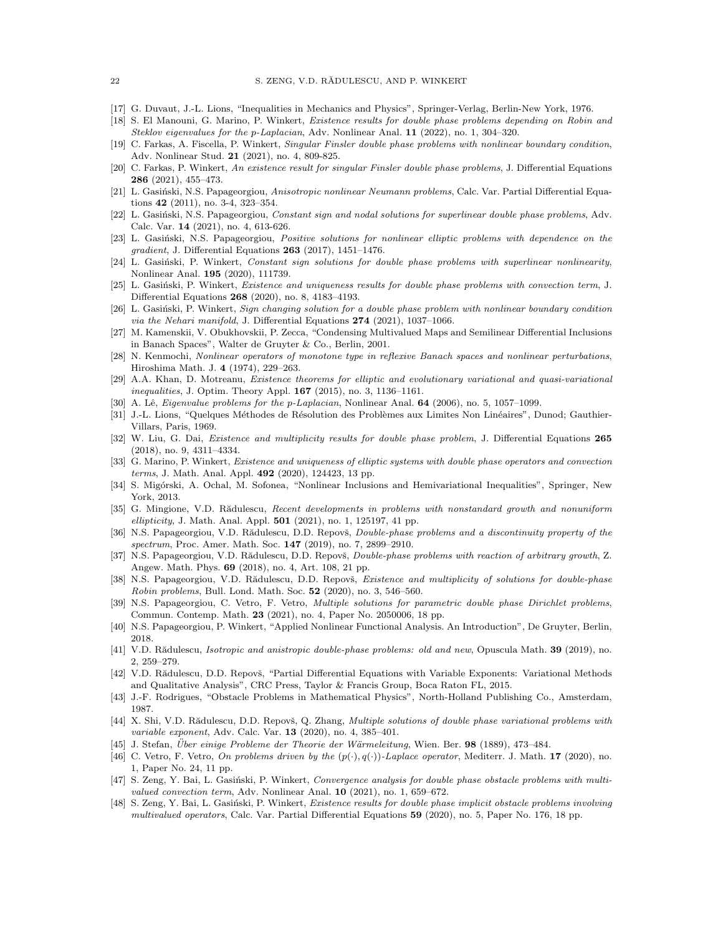- <span id="page-21-2"></span>[17] G. Duvaut, J.-L. Lions, "Inequalities in Mechanics and Physics", Springer-Verlag, Berlin-New York, 1976.
- <span id="page-21-8"></span>[18] S. El Manouni, G. Marino, P. Winkert, Existence results for double phase problems depending on Robin and Steklov eigenvalues for the p-Laplacian, Adv. Nonlinear Anal. 11 (2022), no. 1, 304–320.
- <span id="page-21-9"></span>[19] C. Farkas, A. Fiscella, P. Winkert, Singular Finsler double phase problems with nonlinear boundary condition, Adv. Nonlinear Stud. 21 (2021), no. 4, 809-825.
- <span id="page-21-10"></span>C. Farkas, P. Winkert, An existence result for singular Finsler double phase problems, J. Differential Equations 286 (2021), 455–473.
- <span id="page-21-6"></span>[21] L. Gasiński, N.S. Papageorgiou, Anisotropic nonlinear Neumann problems, Calc. Var. Partial Differential Equations 42 (2011), no. 3-4, 323–354.
- <span id="page-21-11"></span>[22] L. Gasiński, N.S. Papageorgiou, Constant sign and nodal solutions for superlinear double phase problems, Adv. Calc. Var. 14 (2021), no. 4, 613-626.
- <span id="page-21-12"></span>[23] L. Gasiński, N.S. Papageorgiou, Positive solutions for nonlinear elliptic problems with dependence on the gradient, J. Differential Equations 263 (2017), 1451–1476.
- <span id="page-21-13"></span>[24] L. Gasiński, P. Winkert, Constant sign solutions for double phase problems with superlinear nonlinearity, Nonlinear Anal. 195 (2020), 111739.
- <span id="page-21-14"></span>[25] L. Gasiński, P. Winkert, Existence and uniqueness results for double phase problems with convection term, J. Differential Equations 268 (2020), no. 8, 4183–4193.
- <span id="page-21-15"></span>[26] L. Gasiński, P. Winkert, Sign changing solution for a double phase problem with nonlinear boundary condition via the Nehari manifold, J. Differential Equations 274 (2021), 1037–1066.
- <span id="page-21-31"></span>[27] M. Kamenskii, V. Obukhovskii, P. Zecca, "Condensing Multivalued Maps and Semilinear Differential Inclusions in Banach Spaces", Walter de Gruyter & Co., Berlin, 2001.
- <span id="page-21-29"></span>[28] N. Kenmochi, Nonlinear operators of monotone type in reflexive Banach spaces and nonlinear perturbations, Hiroshima Math. J. 4 (1974), 229–263.
- <span id="page-21-28"></span>[29] A.A. Khan, D. Motreanu, Existence theorems for elliptic and evolutionary variational and quasi-variational inequalities, J. Optim. Theory Appl. 167 (2015), no. 3, 1136–1161.
- <span id="page-21-25"></span>[30] A. Lê, Eigenvalue problems for the p-Laplacian, Nonlinear Anal. 64 (2006), no. 5, 1057–1099.
- <span id="page-21-1"></span>[31] J.-L. Lions, "Quelques Méthodes de Résolution des Problèmes aux Limites Non Linéaires", Dunod; Gauthier-Villars, Paris, 1969.
- <span id="page-21-16"></span>[32] W. Liu, G. Dai, *Existence and multiplicity results for double phase problem*, J. Differential Equations 265 (2018), no. 9, 4311–4334.
- <span id="page-21-17"></span>[33] G. Marino, P. Winkert, Existence and uniqueness of elliptic systems with double phase operators and convection terms, J. Math. Anal. Appl. 492 (2020), 124423, 13 pp.
- <span id="page-21-30"></span>[34] S. Migórski, A. Ochal, M. Sofonea, "Nonlinear Inclusions and Hemivariational Inequalities", Springer, New York, 2013.
- <span id="page-21-24"></span>[35] G. Mingione, V.D. Rădulescu, Recent developments in problems with nonstandard growth and nonuniform ellipticity, J. Math. Anal. Appl. 501 (2021), no. 1, 125197, 41 pp.
- <span id="page-21-18"></span>[36] N.S. Papageorgiou, V.D. Rădulescu, D.D. Repovš, Double-phase problems and a discontinuity property of the spectrum, Proc. Amer. Math. Soc. 147 (2019), no. 7, 2899-2910.
- <span id="page-21-19"></span>[37] N.S. Papageorgiou, V.D. Rădulescu, D.D. Repovš, Double-phase problems with reaction of arbitrary growth, Z. Angew. Math. Phys. 69 (2018), no. 4, Art. 108, 21 pp.
- <span id="page-21-20"></span>[38] N.S. Papageorgiou, V.D. Rădulescu, D.D. Repovš, Existence and multiplicity of solutions for double-phase  $Robin$  problems, Bull. Lond. Math. Soc.  $52$  (2020), no. 3, 546–560.
- <span id="page-21-21"></span>[39] N.S. Papageorgiou, C. Vetro, F. Vetro, Multiple solutions for parametric double phase Dirichlet problems, Commun. Contemp. Math. 23 (2021), no. 4, Paper No. 2050006, 18 pp.
- <span id="page-21-27"></span>[40] N.S. Papageorgiou, P. Winkert, "Applied Nonlinear Functional Analysis. An Introduction", De Gruyter, Berlin, 2018.
- <span id="page-21-23"></span>[41] V.D. Rădulescu, Isotropic and anistropic double-phase problems: old and new, Opuscula Math. 39 (2019), no. 2, 259–279.
- <span id="page-21-26"></span>[42] V.D. Rădulescu, D.D. Repovš, "Partial Differential Equations with Variable Exponents: Variational Methods and Qualitative Analysis", CRC Press, Taylor & Francis Group, Boca Raton FL, 2015.
- <span id="page-21-3"></span>[43] J.-F. Rodrigues, "Obstacle Problems in Mathematical Physics", North-Holland Publishing Co., Amsterdam, 1987.
- <span id="page-21-5"></span>[44] X. Shi, V.D. Rădulescu, D.D. Repovš, Q. Zhang, Multiple solutions of double phase variational problems with variable exponent, Adv. Calc. Var. 13 (2020), no. 4, 385–401.
- <span id="page-21-0"></span> $[45]$  J. Stefan, Über einige Probleme der Theorie der Wärmeleitung, Wien. Ber. 98 (1889), 473–484.
- <span id="page-21-7"></span>[46] C. Vetro, F. Vetro, On problems driven by the  $(p(\cdot), q(\cdot))$ -Laplace operator, Mediterr. J. Math. 17 (2020), no. 1, Paper No. 24, 11 pp.
- <span id="page-21-4"></span>[47] S. Zeng, Y. Bai, L. Gasiński, P. Winkert, Convergence analysis for double phase obstacle problems with multivalued convection term, Adv. Nonlinear Anal. 10 (2021), no. 1, 659–672.
- <span id="page-21-22"></span>[48] S. Zeng, Y. Bai, L. Gasiński, P. Winkert, Existence results for double phase implicit obstacle problems involving multivalued operators, Calc. Var. Partial Differential Equations 59 (2020), no. 5, Paper No. 176, 18 pp.